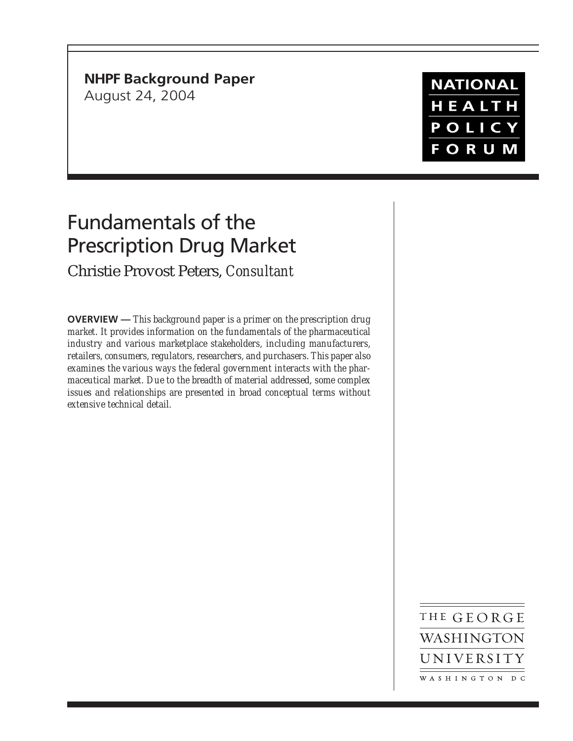# **NHPF Background Paper**

August 24, 2004

# **NATIONAL** HEALTH POLICY **FORUM**

# Fundamentals of the Prescription Drug Market

## Christie Provost Peters, *Consultant*

**OVERVIEW —** *This background paper is a primer on the prescription drug market. It provides information on the fundamentals of the pharmaceutical industry and various marketplace stakeholders, including manufacturers, retailers, consumers, regulators, researchers, and purchasers. This paper also examines the various ways the federal government interacts with the pharmaceutical market. Due to the breadth of material addressed, some complex issues and relationships are presented in broad conceptual terms without extensive technical detail.*

> THE GEORGE WASHINGTON UNIVERSITY WASHINGTON DC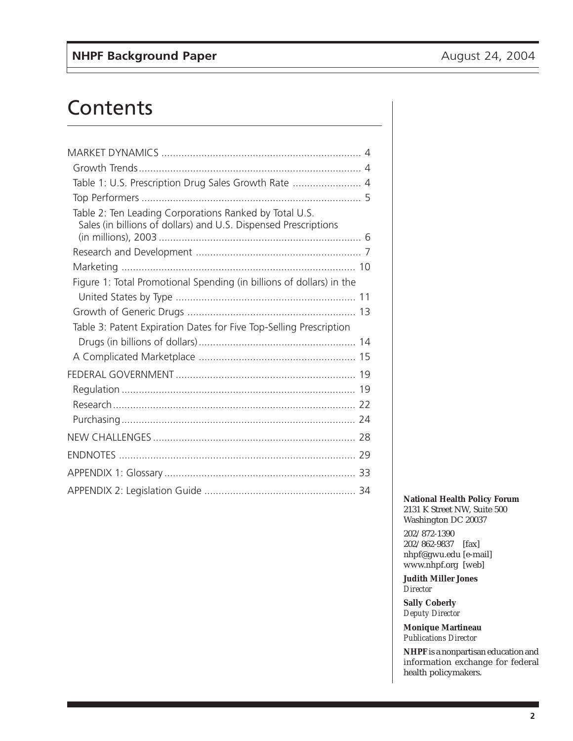# **Contents**

| Table 1: U.S. Prescription Drug Sales Growth Rate  4                                                                      |  |
|---------------------------------------------------------------------------------------------------------------------------|--|
|                                                                                                                           |  |
| Table 2: Ten Leading Corporations Ranked by Total U.S.<br>Sales (in billions of dollars) and U.S. Dispensed Prescriptions |  |
|                                                                                                                           |  |
|                                                                                                                           |  |
| Figure 1: Total Promotional Spending (in billions of dollars) in the                                                      |  |
|                                                                                                                           |  |
|                                                                                                                           |  |
| Table 3: Patent Expiration Dates for Five Top-Selling Prescription                                                        |  |
|                                                                                                                           |  |
|                                                                                                                           |  |
|                                                                                                                           |  |
|                                                                                                                           |  |
|                                                                                                                           |  |
|                                                                                                                           |  |
|                                                                                                                           |  |
|                                                                                                                           |  |
|                                                                                                                           |  |
|                                                                                                                           |  |

**National Health Policy Forum** 2131 K Street NW, Suite 500 Washington DC 20037

202/872-1390 202/862-9837 [fax] nhpf@gwu.edu [e-mail] www.nhpf.org [web]

**Judith Miller Jones** *Director*

**Sally Coberly** *Deputy Director*

**Monique Martineau** *Publications Director*

**NHPF** is a nonpartisan education and information exchange for federal health policymakers.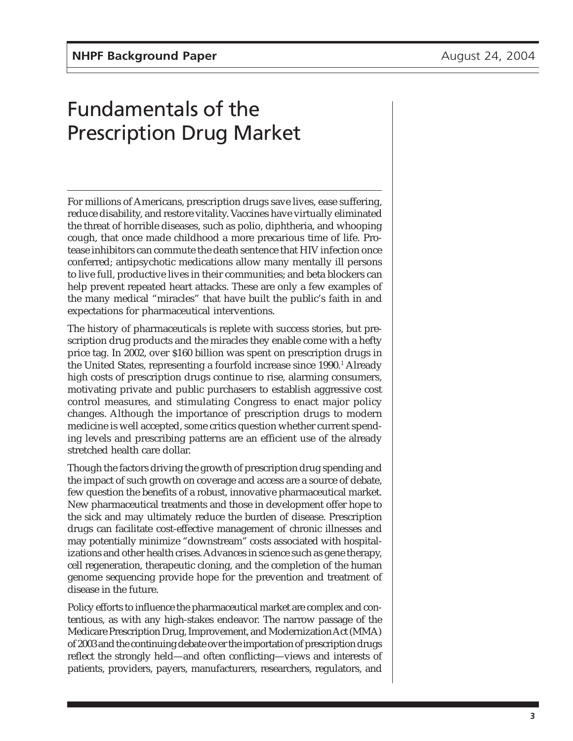# Fundamentals of the Prescription Drug Market

For millions of Americans, prescription drugs save lives, ease suffering, reduce disability, and restore vitality. Vaccines have virtually eliminated the threat of horrible diseases, such as polio, diphtheria, and whooping cough, that once made childhood a more precarious time of life. Protease inhibitors can commute the death sentence that HIV infection once conferred; antipsychotic medications allow many mentally ill persons to live full, productive lives in their communities; and beta blockers can help prevent repeated heart attacks. These are only a few examples of the many medical "miracles" that have built the public's faith in and expectations for pharmaceutical interventions.

The history of pharmaceuticals is replete with success stories, but prescription drug products and the miracles they enable come with a hefty price tag. In 2002, over \$160 billion was spent on prescription drugs in the United States, representing a fourfold increase since 1990.<sup>1</sup> Already high costs of prescription drugs continue to rise, alarming consumers, motivating private and public purchasers to establish aggressive cost control measures, and stimulating Congress to enact major policy changes. Although the importance of prescription drugs to modern medicine is well accepted, some critics question whether current spending levels and prescribing patterns are an efficient use of the already stretched health care dollar.

Though the factors driving the growth of prescription drug spending and the impact of such growth on coverage and access are a source of debate, few question the benefits of a robust, innovative pharmaceutical market. New pharmaceutical treatments and those in development offer hope to the sick and may ultimately reduce the burden of disease. Prescription drugs can facilitate cost-effective management of chronic illnesses and may potentially minimize "downstream" costs associated with hospitalizations and other health crises. Advances in science such as gene therapy, cell regeneration, therapeutic cloning, and the completion of the human genome sequencing provide hope for the prevention and treatment of disease in the future.

Policy efforts to influence the pharmaceutical market are complex and contentious, as with any high-stakes endeavor. The narrow passage of the Medicare Prescription Drug, Improvement, and Modernization Act (MMA) of 2003 and the continuing debate over the importation of prescription drugs reflect the strongly held—and often conflicting—views and interests of patients, providers, payers, manufacturers, researchers, regulators, and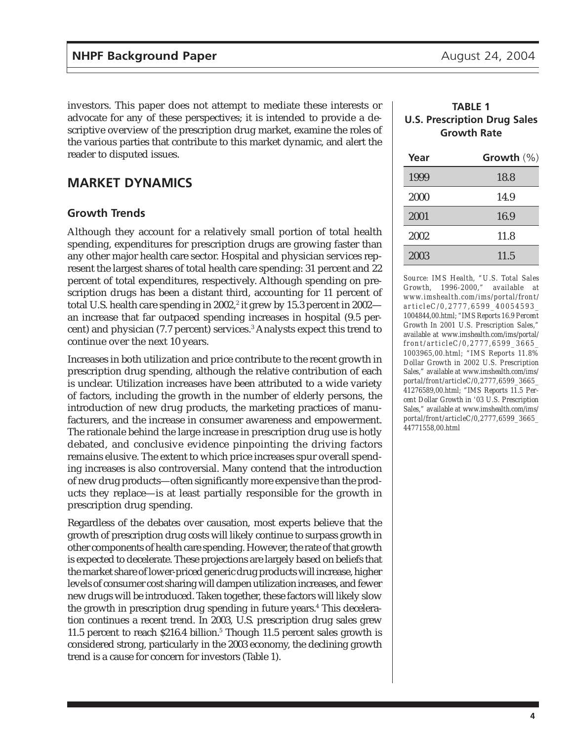investors. This paper does not attempt to mediate these interests or advocate for any of these perspectives; it is intended to provide a descriptive overview of the prescription drug market, examine the roles of the various parties that contribute to this market dynamic, and alert the reader to disputed issues.

### **MARKET DYNAMICS**

#### **Growth Trends**

Although they account for a relatively small portion of total health spending, expenditures for prescription drugs are growing faster than any other major health care sector. Hospital and physician services represent the largest shares of total health care spending: 31 percent and 22 percent of total expenditures, respectively. Although spending on prescription drugs has been a distant third, accounting for 11 percent of total U.S. health care spending in 2002,<sup>2</sup> it grew by 15.3 percent in 2002 an increase that far outpaced spending increases in hospital (9.5 percent) and physician (7.7 percent) services.3 Analysts expect this trend to continue over the next 10 years.

Increases in both utilization and price contribute to the recent growth in prescription drug spending, although the relative contribution of each is unclear. Utilization increases have been attributed to a wide variety of factors, including the growth in the number of elderly persons, the introduction of new drug products, the marketing practices of manufacturers, and the increase in consumer awareness and empowerment. The rationale behind the large increase in prescription drug use is hotly debated, and conclusive evidence pinpointing the driving factors remains elusive. The extent to which price increases spur overall spending increases is also controversial. Many contend that the introduction of new drug products—often significantly more expensive than the products they replace—is at least partially responsible for the growth in prescription drug spending.

Regardless of the debates over causation, most experts believe that the growth of prescription drug costs will likely continue to surpass growth in other components of health care spending. However, the rate of that growth is expected to decelerate. These projections are largely based on beliefs that the market share of lower-priced generic drug products will increase, higher levels of consumer cost sharing will dampen utilization increases, and fewer new drugs will be introduced. Taken together, these factors will likely slow the growth in prescription drug spending in future years.4 This deceleration continues a recent trend. In 2003, U.S. prescription drug sales grew 11.5 percent to reach \$216.4 billion.<sup>5</sup> Though 11.5 percent sales growth is considered strong, particularly in the 2003 economy, the declining growth trend is a cause for concern for investors (Table 1).

#### **TABLE 1 U.S. Prescription Drug Sales Growth Rate**

| Year | Growth $(\%)$ |
|------|---------------|
| 1999 | 18.8          |
| 2000 | 14.9          |
| 2001 | 16.9          |
| 2002 | 11.8          |
| 2003 | 11.5          |

*Source: IMS Health, "U.S. Total Sales Growth, 1996-2000," available at www.imshealth.com/ims/portal/front/ articleC/0,2777,6599\_40054593\_ 1004844,00.html; "IMS Reports 16.9 Percent Growth In 2001 U.S. Prescription Sales," available at www.imshealth.com/ims/portal/ front/articleC/0,2777,6599\_3665\_ 1003965,00.html; "IMS Reports 11.8% Dollar Growth in 2002 U.S. Prescription Sales," available at www.imshealth.com/ims/ portal/front/articleC/0,2777,6599\_3665\_ 41276589,00.html; "IMS Reports 11.5 Percent Dollar Growth in '03 U.S. Prescription Sales," available at www.imshealth.com/ims/ portal/front/articleC/0,2777,6599\_3665\_ 44771558,00.html*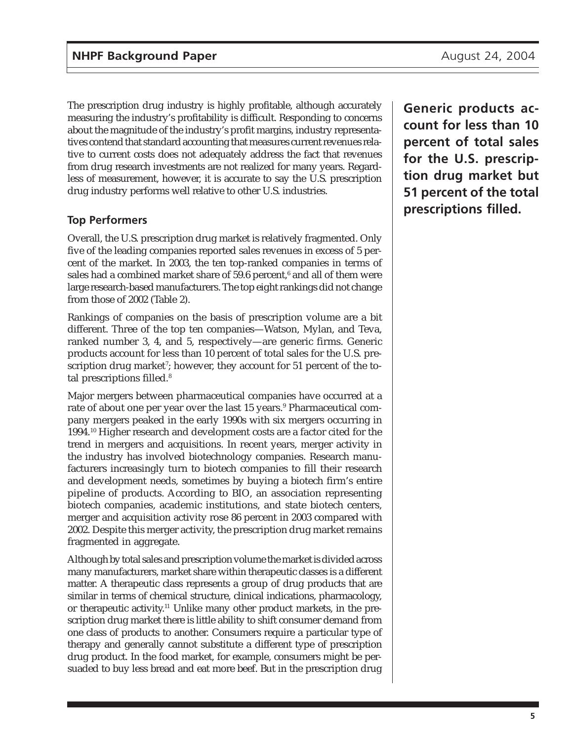The prescription drug industry is highly profitable, although accurately measuring the industry's profitability is difficult. Responding to concerns about the magnitude of the industry's profit margins, industry representatives contend that standard accounting that measures current revenues relative to current costs does not adequately address the fact that revenues from drug research investments are not realized for many years. Regardless of measurement, however, it is accurate to say the U.S. prescription drug industry performs well relative to other U.S. industries.

### **Top Performers**

Overall, the U.S. prescription drug market is relatively fragmented. Only five of the leading companies reported sales revenues in excess of 5 percent of the market. In 2003, the ten top-ranked companies in terms of sales had a combined market share of 59.6 percent, $^{\rm 6}$  and all of them were large research-based manufacturers. The top eight rankings did not change from those of 2002 (Table 2).

Rankings of companies on the basis of prescription volume are a bit different. Three of the top ten companies—Watson, Mylan, and Teva, ranked number 3, 4, and 5, respectively—are generic firms. Generic products account for less than 10 percent of total sales for the U.S. prescription drug market'; however, they account for 51 percent of the total prescriptions filled.<sup>8</sup>

Major mergers between pharmaceutical companies have occurred at a rate of about one per year over the last 15 years.<sup>9</sup> Pharmaceutical company mergers peaked in the early 1990s with six mergers occurring in 1994.10 Higher research and development costs are a factor cited for the trend in mergers and acquisitions. In recent years, merger activity in the industry has involved biotechnology companies. Research manufacturers increasingly turn to biotech companies to fill their research and development needs, sometimes by buying a biotech firm's entire pipeline of products. According to BIO, an association representing biotech companies, academic institutions, and state biotech centers, merger and acquisition activity rose 86 percent in 2003 compared with 2002. Despite this merger activity, the prescription drug market remains fragmented in aggregate.

Although by total sales and prescription volume the market is divided across many manufacturers, market share within therapeutic classes is a different matter. A therapeutic class represents a group of drug products that are similar in terms of chemical structure, clinical indications, pharmacology, or therapeutic activity.11 Unlike many other product markets, in the prescription drug market there is little ability to shift consumer demand from one class of products to another. Consumers require a particular type of therapy and generally cannot substitute a different type of prescription drug product. In the food market, for example, consumers might be persuaded to buy less bread and eat more beef. But in the prescription drug

**Generic products account for less than 10 percent of total sales for the U.S. prescription drug market but 51 percent of the total prescriptions filled.**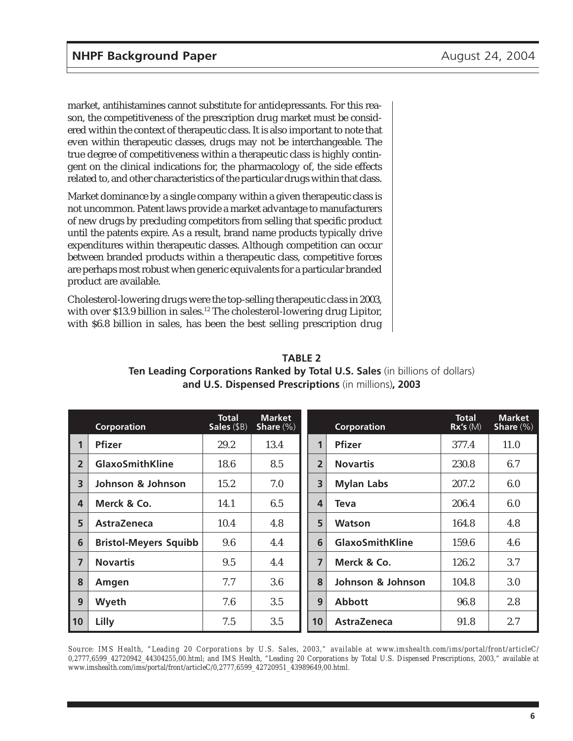market, antihistamines cannot substitute for antidepressants. For this reason, the competitiveness of the prescription drug market must be considered within the context of therapeutic class. It is also important to note that even within therapeutic classes, drugs may not be interchangeable. The true degree of competitiveness within a therapeutic class is highly contingent on the clinical indications for, the pharmacology of, the side effects related to, and other characteristics of the particular drugs within that class.

Market dominance by a single company within a given therapeutic class is not uncommon. Patent laws provide a market advantage to manufacturers of new drugs by precluding competitors from selling that specific product until the patents expire. As a result, brand name products typically drive expenditures within therapeutic classes. Although competition can occur between branded products within a therapeutic class, competitive forces are perhaps most robust when generic equivalents for a particular branded product are available.

Cholesterol-lowering drugs were the top-selling therapeutic class in 2003, with over \$13.9 billion in sales.<sup>12</sup> The cholesterol-lowering drug Lipitor, with \$6.8 billion in sales, has been the best selling prescription drug

|                         | <b>Corporation</b>           | <b>Total</b><br>Sales (\$B) | <b>Market</b><br>Share $(\%)$ |                | <b>Corporation</b>     | <b>Total</b><br>Rx's(M) | <b>Market</b><br>Share $(\%)$ |
|-------------------------|------------------------------|-----------------------------|-------------------------------|----------------|------------------------|-------------------------|-------------------------------|
| 1                       | <b>Pfizer</b>                | 29.2                        | 13.4                          | 1              | <b>Pfizer</b>          | 377.4                   | 11.0                          |
| $\overline{2}$          | <b>GlaxoSmithKline</b>       | 18.6                        | 8.5                           | $\overline{2}$ | <b>Novartis</b>        | 230.8                   | 6.7                           |
| $\overline{\mathbf{3}}$ | Johnson & Johnson            | 15.2                        | 7.0                           | 3              | <b>Mylan Labs</b>      | 207.2                   | 6.0                           |
| 4                       | Merck & Co.                  | 14.1                        | 6.5                           | 4              | Teva                   | 206.4                   | 6.0                           |
| 5                       | <b>AstraZeneca</b>           | 10.4                        | 4.8                           | 5              | <b>Watson</b>          | 164.8                   | 4.8                           |
| 6                       | <b>Bristol-Meyers Squibb</b> | 9.6                         | 4.4                           | 6              | <b>GlaxoSmithKline</b> | 159.6                   | 4.6                           |
| $\overline{7}$          | <b>Novartis</b>              | 9.5                         | 4.4                           | $\overline{7}$ | Merck & Co.            | 126.2                   | 3.7                           |
| 8                       | Amgen                        | 7.7                         | 3.6                           | 8              | Johnson & Johnson      | 104.8                   | 3.0                           |
| 9                       | Wyeth                        | 7.6                         | 3.5                           | 9              | <b>Abbott</b>          | 96.8                    | 2.8                           |
| 10                      | Lilly                        | 7.5                         | 3.5                           | 10             | <b>AstraZeneca</b>     | 91.8                    | 2.7                           |

#### **TABLE 2 Ten Leading Corporations Ranked by Total U.S. Sales** (in billions of dollars) **and U.S. Dispensed Prescriptions** (in millions)**, 2003**

*Source: IMS Health, "Leading 20 Corporations by U.S. Sales, 2003," available at www.imshealth.com/ims/portal/front/articleC/ 0,2777,6599\_42720942\_44304255,00.html; and IMS Health, "Leading 20 Corporations by Total U.S. Dispensed Prescriptions, 2003," available at www.imshealth.com/ims/portal/front/articleC/0,2777,6599\_42720951\_43989649,00.html.*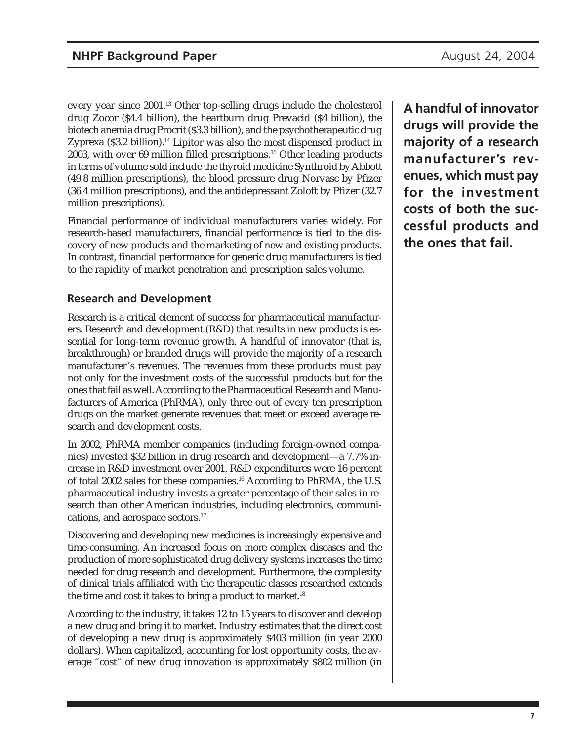every year since 2001.13 Other top-selling drugs include the cholesterol drug Zocor (\$4.4 billion), the heartburn drug Prevacid (\$4 billion), the biotech anemia drug Procrit (\$3.3 billion), and the psychotherapeutic drug Zyprexa (\$3.2 billion).<sup>14</sup> Lipitor was also the most dispensed product in 2003, with over 69 million filled prescriptions.15 Other leading products in terms of volume sold include the thyroid medicine Synthroid by Abbott (49.8 million prescriptions), the blood pressure drug Norvasc by Pfizer (36.4 million prescriptions), and the antidepressant Zoloft by Pfizer (32.7 million prescriptions).

Financial performance of individual manufacturers varies widely. For research-based manufacturers, financial performance is tied to the discovery of new products and the marketing of new and existing products. In contrast, financial performance for generic drug manufacturers is tied to the rapidity of market penetration and prescription sales volume.

## **Research and Development**

Research is a critical element of success for pharmaceutical manufacturers. Research and development (R&D) that results in new products is essential for long-term revenue growth. A handful of innovator (that is, breakthrough) or branded drugs will provide the majority of a research manufacturer's revenues. The revenues from these products must pay not only for the investment costs of the successful products but for the ones that fail as well. According to the Pharmaceutical Research and Manufacturers of America (PhRMA), only three out of every ten prescription drugs on the market generate revenues that meet or exceed average research and development costs.

In 2002, PhRMA member companies (including foreign-owned companies) invested \$32 billion in drug research and development—a 7.7% increase in R&D investment over 2001. R&D expenditures were 16 percent of total 2002 sales for these companies.<sup>16</sup> According to PhRMA, the U.S. pharmaceutical industry invests a greater percentage of their sales in research than other American industries, including electronics, communications, and aerospace sectors.17

Discovering and developing new medicines is increasingly expensive and time-consuming. An increased focus on more complex diseases and the production of more sophisticated drug delivery systems increases the time needed for drug research and development. Furthermore, the complexity of clinical trials affiliated with the therapeutic classes researched extends the time and cost it takes to bring a product to market.<sup>18</sup>

According to the industry, it takes 12 to 15 years to discover and develop a new drug and bring it to market. Industry estimates that the direct cost of developing a new drug is approximately \$403 million (in year 2000 dollars). When capitalized, accounting for lost opportunity costs, the average "cost" of new drug innovation is approximately \$802 million (in

**A handful of innovator drugs will provide the majority of a research manufacturer's revenues, which must pay for the investment costs of both the successful products and the ones that fail.**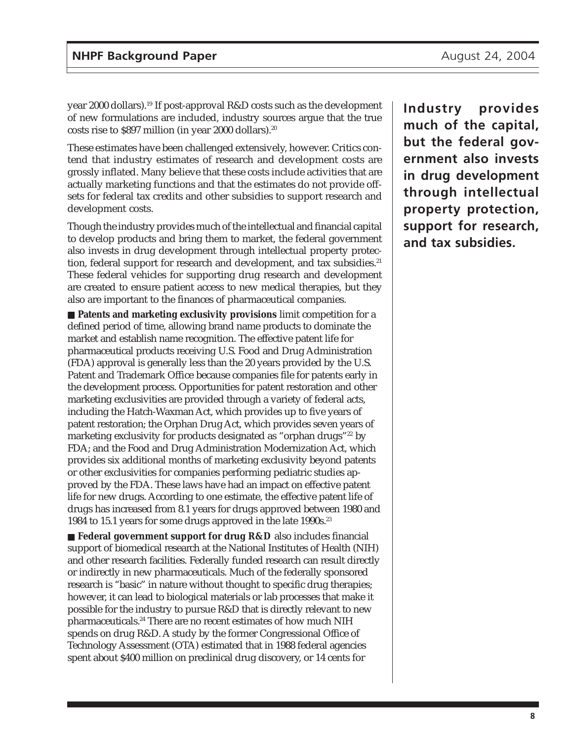year 2000 dollars).19 If post-approval R&D costs such as the development of new formulations are included, industry sources argue that the true costs rise to \$897 million (in year 2000 dollars).20

These estimates have been challenged extensively, however. Critics contend that industry estimates of research and development costs are grossly inflated. Many believe that these costs include activities that are actually marketing functions and that the estimates do not provide offsets for federal tax credits and other subsidies to support research and development costs.

Though the industry provides much of the intellectual and financial capital to develop products and bring them to market, the federal government also invests in drug development through intellectual property protection, federal support for research and development, and tax subsidies.<sup>21</sup> These federal vehicles for supporting drug research and development are created to ensure patient access to new medical therapies, but they also are important to the finances of pharmaceutical companies.

■ **Patents and marketing exclusivity provisions** limit competition for a defined period of time, allowing brand name products to dominate the market and establish name recognition. The effective patent life for pharmaceutical products receiving U.S. Food and Drug Administration (FDA) approval is generally less than the 20 years provided by the U.S. Patent and Trademark Office because companies file for patents early in the development process. Opportunities for patent restoration and other marketing exclusivities are provided through a variety of federal acts, including the Hatch-Waxman Act, which provides up to five years of patent restoration; the Orphan Drug Act, which provides seven years of marketing exclusivity for products designated as "orphan drugs"22 by FDA; and the Food and Drug Administration Modernization Act, which provides six additional months of marketing exclusivity beyond patents or other exclusivities for companies performing pediatric studies approved by the FDA. These laws have had an impact on effective patent life for new drugs. According to one estimate, the effective patent life of drugs has increased from 8.1 years for drugs approved between 1980 and 1984 to 15.1 years for some drugs approved in the late 1990s.<sup>23</sup>

■ **Federal government support for drug R&D** also includes financial support of biomedical research at the National Institutes of Health (NIH) and other research facilities. Federally funded research can result directly or indirectly in new pharmaceuticals. Much of the federally sponsored research is "basic" in nature without thought to specific drug therapies; however, it can lead to biological materials or lab processes that make it possible for the industry to pursue R&D that is directly relevant to new pharmaceuticals.24 There are no recent estimates of how much NIH spends on drug R&D. A study by the former Congressional Office of Technology Assessment (OTA) estimated that in 1988 federal agencies spent about \$400 million on preclinical drug discovery, or 14 cents for

**Industry provides much of the capital, but the federal government also invests in drug development through intellectual property protection, support for research, and tax subsidies.**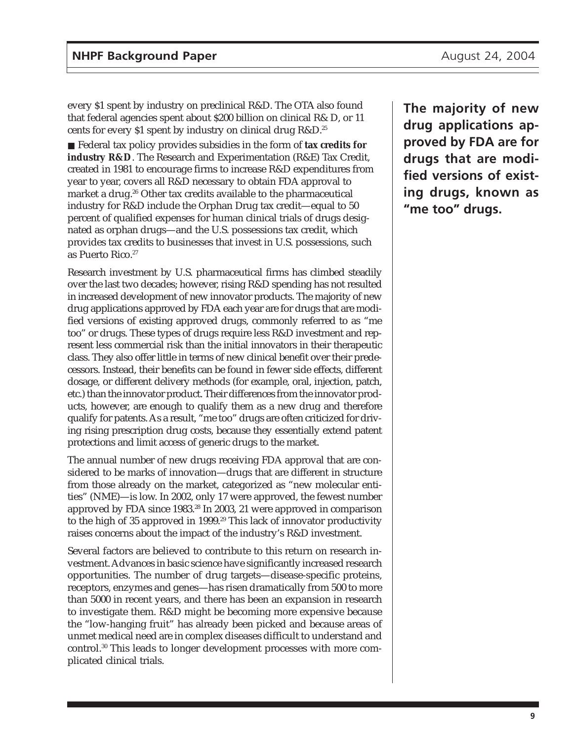every \$1 spent by industry on preclinical R&D. The OTA also found that federal agencies spent about \$200 billion on clinical R& D, or 11 cents for every \$1 spent by industry on clinical drug R&D.25

■ Federal tax policy provides subsidies in the form of **tax credits for industry R&D**. The Research and Experimentation (R&E) Tax Credit, created in 1981 to encourage firms to increase R&D expenditures from year to year, covers all R&D necessary to obtain FDA approval to market a drug.<sup>26</sup> Other tax credits available to the pharmaceutical industry for R&D include the Orphan Drug tax credit—equal to 50 percent of qualified expenses for human clinical trials of drugs designated as orphan drugs—and the U.S. possessions tax credit, which provides tax credits to businesses that invest in U.S. possessions, such as Puerto Rico.<sup>27</sup>

Research investment by U.S. pharmaceutical firms has climbed steadily over the last two decades; however, rising R&D spending has not resulted in increased development of new innovator products. The majority of new drug applications approved by FDA each year are for drugs that are modified versions of existing approved drugs, commonly referred to as "me too" or drugs. These types of drugs require less R&D investment and represent less commercial risk than the initial innovators in their therapeutic class. They also offer little in terms of new clinical benefit over their predecessors. Instead, their benefits can be found in fewer side effects, different dosage, or different delivery methods (for example, oral, injection, patch, etc.) than the innovator product. Their differences from the innovator products, however, are enough to qualify them as a new drug and therefore qualify for patents. As a result, "me too" drugs are often criticized for driving rising prescription drug costs, because they essentially extend patent protections and limit access of generic drugs to the market.

The annual number of new drugs receiving FDA approval that are considered to be marks of innovation—drugs that are different in structure from those already on the market, categorized as "new molecular entities" (NME)—is low. In 2002, only 17 were approved, the fewest number approved by FDA since 1983.<sup>28</sup> In 2003, 21 were approved in comparison to the high of 35 approved in 1999.<sup>29</sup> This lack of innovator productivity raises concerns about the impact of the industry's R&D investment.

Several factors are believed to contribute to this return on research investment. Advances in basic science have significantly increased research opportunities. The number of drug targets—disease-specific proteins, receptors, enzymes and genes—has risen dramatically from 500 to more than 5000 in recent years, and there has been an expansion in research to investigate them. R&D might be becoming more expensive because the "low-hanging fruit" has already been picked and because areas of unmet medical need are in complex diseases difficult to understand and control.30 This leads to longer development processes with more complicated clinical trials.

**The majority of new drug applications approved by FDA are for drugs that are modified versions of existing drugs, known as "me too" drugs.**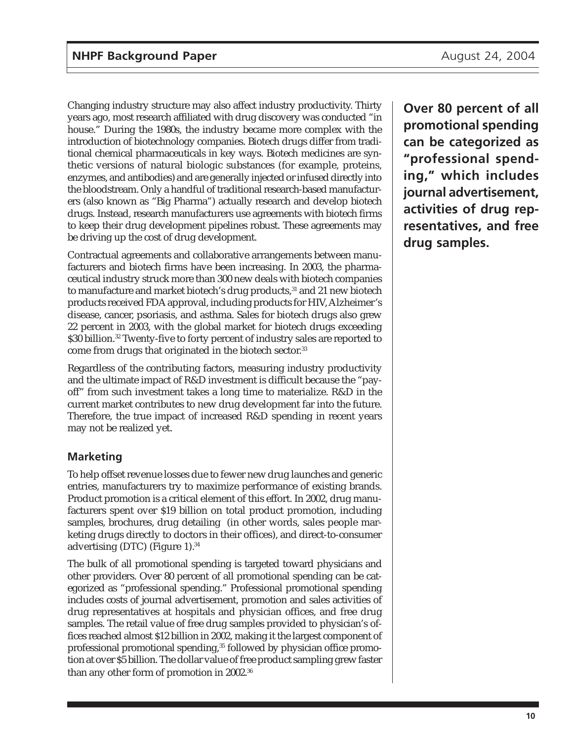Changing industry structure may also affect industry productivity. Thirty years ago, most research affiliated with drug discovery was conducted "in house." During the 1980s, the industry became more complex with the introduction of biotechnology companies. Biotech drugs differ from traditional chemical pharmaceuticals in key ways. Biotech medicines are synthetic versions of natural biologic substances (for example, proteins, enzymes, and antibodies) and are generally injected or infused directly into the bloodstream. Only a handful of traditional research-based manufacturers (also known as "Big Pharma") actually research and develop biotech drugs. Instead, research manufacturers use agreements with biotech firms to keep their drug development pipelines robust. These agreements may be driving up the cost of drug development.

Contractual agreements and collaborative arrangements between manufacturers and biotech firms have been increasing. In 2003, the pharmaceutical industry struck more than 300 new deals with biotech companies to manufacture and market biotech's drug products,<sup>31</sup> and 21 new biotech products received FDA approval, including products for HIV, Alzheimer's disease, cancer, psoriasis, and asthma. Sales for biotech drugs also grew 22 percent in 2003, with the global market for biotech drugs exceeding \$30 billion.<sup>32</sup> Twenty-five to forty percent of industry sales are reported to come from drugs that originated in the biotech sector.<sup>33</sup>

Regardless of the contributing factors, measuring industry productivity and the ultimate impact of R&D investment is difficult because the "payoff" from such investment takes a long time to materialize. R&D in the current market contributes to new drug development far into the future. Therefore, the true impact of increased R&D spending in recent years may not be realized yet.

### **Marketing**

To help offset revenue losses due to fewer new drug launches and generic entries, manufacturers try to maximize performance of existing brands. Product promotion is a critical element of this effort. In 2002, drug manufacturers spent over \$19 billion on total product promotion, including samples, brochures, drug detailing (in other words, sales people marketing drugs directly to doctors in their offices), and direct-to-consumer advertising (DTC) (Figure 1).34

The bulk of all promotional spending is targeted toward physicians and other providers. Over 80 percent of all promotional spending can be categorized as "professional spending." Professional promotional spending includes costs of journal advertisement, promotion and sales activities of drug representatives at hospitals and physician offices, and free drug samples. The retail value of free drug samples provided to physician's offices reached almost \$12 billion in 2002, making it the largest component of professional promotional spending,<sup>35</sup> followed by physician office promotion at over \$5 billion. The dollar value of free product sampling grew faster than any other form of promotion in 2002.<sup>36</sup>

**Over 80 percent of all promotional spending can be categorized as "professional spending," which includes journal advertisement, activities of drug representatives, and free drug samples.**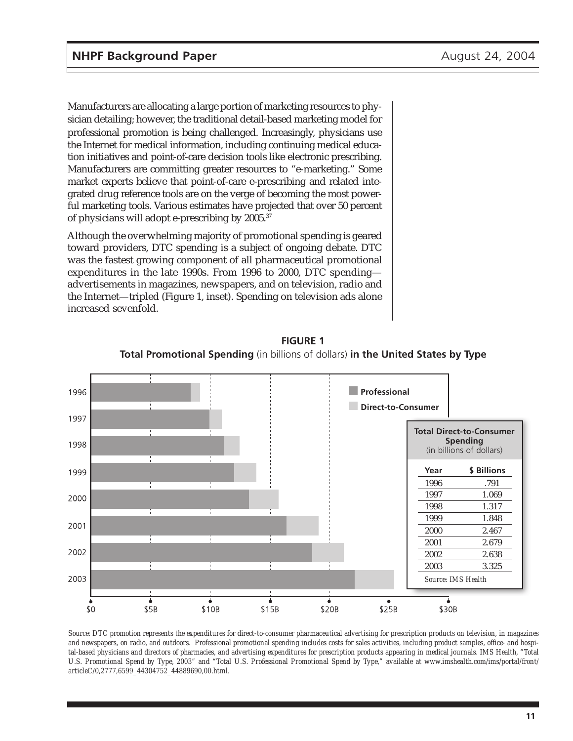Manufacturers are allocating a large portion of marketing resources to physician detailing; however, the traditional detail-based marketing model for professional promotion is being challenged. Increasingly, physicians use the Internet for medical information, including continuing medical education initiatives and point-of-care decision tools like electronic prescribing. Manufacturers are committing greater resources to "e-marketing." Some market experts believe that point-of-care e-prescribing and related integrated drug reference tools are on the verge of becoming the most powerful marketing tools. Various estimates have projected that over 50 percent of physicians will adopt e-prescribing by 2005.37

Although the overwhelming majority of promotional spending is geared toward providers, DTC spending is a subject of ongoing debate. DTC was the fastest growing component of all pharmaceutical promotional expenditures in the late 1990s. From 1996 to 2000, DTC spending advertisements in magazines, newspapers, and on television, radio and the Internet—tripled (Figure 1, inset). Spending on television ads alone increased sevenfold.



**FIGURE 1 Total Promotional Spending** (in billions of dollars) **in the United States by Type**

*Source: DTC promotion represents the expenditures for direct-to-consumer pharmaceutical advertising for prescription products on television, in magazines and newspapers, on radio, and outdoors. Professional promotional spending includes costs for sales activities, including product samples, office- and hospital-based physicians and directors of pharmacies, and advertising expenditures for prescription products appearing in medical journals. IMS Health, "Total U.S. Promotional Spend by Type, 2003" and "Total U.S. Professional Promotional Spend by Type," available at www.imshealth.com/ims/portal/front/ articleC/0,2777,6599\_44304752\_44889690,00.html.*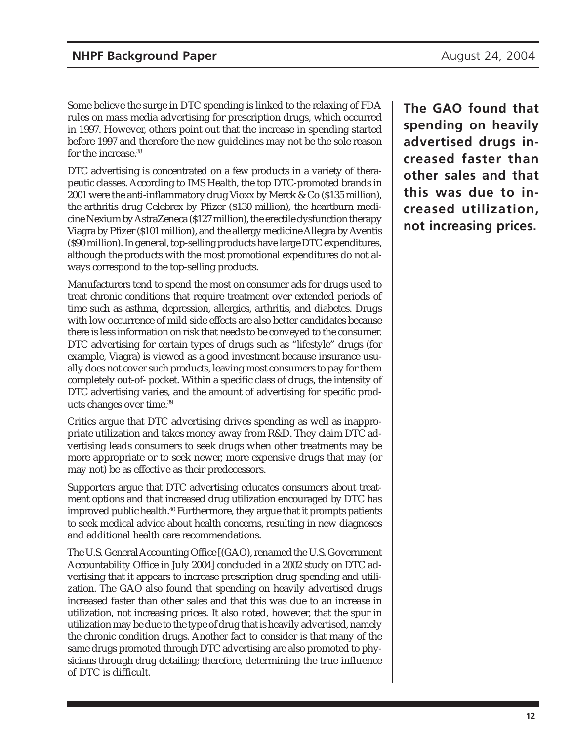Some believe the surge in DTC spending is linked to the relaxing of FDA rules on mass media advertising for prescription drugs, which occurred in 1997. However, others point out that the increase in spending started before 1997 and therefore the new guidelines may not be the sole reason for the increase.<sup>38</sup>

DTC advertising is concentrated on a few products in a variety of therapeutic classes. According to IMS Health, the top DTC-promoted brands in 2001 were the anti-inflammatory drug Vioxx by Merck & Co (\$135 million), the arthritis drug Celebrex by Pfizer (\$130 million), the heartburn medicine Nexium by AstraZeneca (\$127 million), the erectile dysfunction therapy Viagra by Pfizer (\$101 million), and the allergy medicine Allegra by Aventis (\$90 million). In general, top-selling products have large DTC expenditures, although the products with the most promotional expenditures do not always correspond to the top-selling products.

Manufacturers tend to spend the most on consumer ads for drugs used to treat chronic conditions that require treatment over extended periods of time such as asthma, depression, allergies, arthritis, and diabetes. Drugs with low occurrence of mild side effects are also better candidates because there is less information on risk that needs to be conveyed to the consumer. DTC advertising for certain types of drugs such as "lifestyle" drugs (for example, Viagra) is viewed as a good investment because insurance usually does not cover such products, leaving most consumers to pay for them completely out-of- pocket. Within a specific class of drugs, the intensity of DTC advertising varies, and the amount of advertising for specific products changes over time.39

Critics argue that DTC advertising drives spending as well as inappropriate utilization and takes money away from R&D. They claim DTC advertising leads consumers to seek drugs when other treatments may be more appropriate or to seek newer, more expensive drugs that may (or may not) be as effective as their predecessors.

Supporters argue that DTC advertising educates consumers about treatment options and that increased drug utilization encouraged by DTC has improved public health.<sup>40</sup> Furthermore, they argue that it prompts patients to seek medical advice about health concerns, resulting in new diagnoses and additional health care recommendations.

The U.S. General Accounting Office [(GAO), renamed the U.S. Government Accountability Office in July 2004] concluded in a 2002 study on DTC advertising that it appears to increase prescription drug spending and utilization. The GAO also found that spending on heavily advertised drugs increased faster than other sales and that this was due to an increase in utilization, not increasing prices. It also noted, however, that the spur in utilization may be due to the type of drug that is heavily advertised, namely the chronic condition drugs. Another fact to consider is that many of the same drugs promoted through DTC advertising are also promoted to physicians through drug detailing; therefore, determining the true influence of DTC is difficult.

**The GAO found that spending on heavily advertised drugs increased faster than other sales and that this was due to increased utilization, not increasing prices.**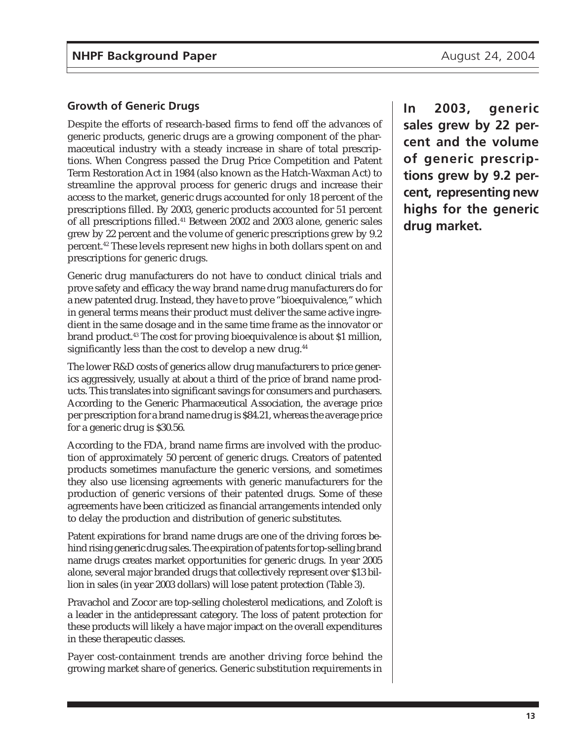## **Growth of Generic Drugs**

Despite the efforts of research-based firms to fend off the advances of generic products, generic drugs are a growing component of the pharmaceutical industry with a steady increase in share of total prescriptions. When Congress passed the Drug Price Competition and Patent Term Restoration Act in 1984 (also known as the Hatch-Waxman Act) to streamline the approval process for generic drugs and increase their access to the market, generic drugs accounted for only 18 percent of the prescriptions filled. By 2003, generic products accounted for 51 percent of all prescriptions filled.41 Between 2002 and 2003 alone, generic sales grew by 22 percent and the volume of generic prescriptions grew by 9.2 percent.42 These levels represent new highs in both dollars spent on and prescriptions for generic drugs.

Generic drug manufacturers do not have to conduct clinical trials and prove safety and efficacy the way brand name drug manufacturers do for a new patented drug. Instead, they have to prove "bioequivalence," which in general terms means their product must deliver the same active ingredient in the same dosage and in the same time frame as the innovator or brand product.43 The cost for proving bioequivalence is about \$1 million, significantly less than the cost to develop a new drug.<sup>44</sup>

The lower R&D costs of generics allow drug manufacturers to price generics aggressively, usually at about a third of the price of brand name products. This translates into significant savings for consumers and purchasers. According to the Generic Pharmaceutical Association, the average price per prescription for a brand name drug is \$84.21, whereas the average price for a generic drug is \$30.56.

According to the FDA, brand name firms are involved with the production of approximately 50 percent of generic drugs. Creators of patented products sometimes manufacture the generic versions, and sometimes they also use licensing agreements with generic manufacturers for the production of generic versions of their patented drugs. Some of these agreements have been criticized as financial arrangements intended only to delay the production and distribution of generic substitutes.

Patent expirations for brand name drugs are one of the driving forces behind rising generic drug sales. The expiration of patents for top-selling brand name drugs creates market opportunities for generic drugs. In year 2005 alone, several major branded drugs that collectively represent over \$13 billion in sales (in year 2003 dollars) will lose patent protection (Table 3).

Pravachol and Zocor are top-selling cholesterol medications, and Zoloft is a leader in the antidepressant category. The loss of patent protection for these products will likely a have major impact on the overall expenditures in these therapeutic classes.

Payer cost-containment trends are another driving force behind the growing market share of generics. Generic substitution requirements in **In 2003, generic sales grew by 22 percent and the volume of generic prescriptions grew by 9.2 percent, representing new highs for the generic drug market.**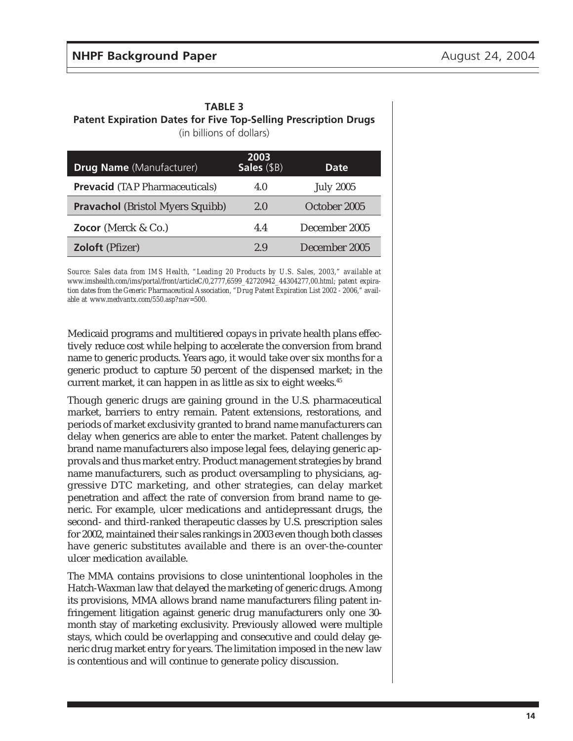| <b>TABLE 3</b>                                                         |  |  |  |  |
|------------------------------------------------------------------------|--|--|--|--|
| <b>Patent Expiration Dates for Five Top-Selling Prescription Drugs</b> |  |  |  |  |
| (in billions of dollars)                                               |  |  |  |  |

| <b>Drug Name</b> (Manufacturer)         | 2003<br>Sales (\$B) | Date.            |
|-----------------------------------------|---------------------|------------------|
| <b>Prevacid</b> (TAP Pharmaceuticals)   | 4.0                 | <b>July 2005</b> |
| <b>Pravachol</b> (Bristol Myers Squibb) | 2.0                 | October 2005     |
| Zocor (Merck $& Co.$ )                  | 4.4                 | December 2005    |
| <b>Zoloft</b> (Pfizer)                  | 2.9                 | December 2005    |

*Source: Sales data from IMS Health, "Leading 20 Products by U.S. Sales, 2003," available at www.imshealth.com/ims/portal/front/articleC/0,2777,6599\_42720942\_44304277,00.html; patent expiration dates from the Generic Pharmaceutical Association, "Drug Patent Expiration List 2002 - 2006," available at www.medvantx.com/550.asp?nav=500.*

Medicaid programs and multitiered copays in private health plans effectively reduce cost while helping to accelerate the conversion from brand name to generic products. Years ago, it would take over six months for a generic product to capture 50 percent of the dispensed market; in the current market, it can happen in as little as six to eight weeks.<sup>45</sup>

Though generic drugs are gaining ground in the U.S. pharmaceutical market, barriers to entry remain. Patent extensions, restorations, and periods of market exclusivity granted to brand name manufacturers can delay when generics are able to enter the market. Patent challenges by brand name manufacturers also impose legal fees, delaying generic approvals and thus market entry. Product management strategies by brand name manufacturers, such as product oversampling to physicians, aggressive DTC marketing, and other strategies, can delay market penetration and affect the rate of conversion from brand name to generic. For example, ulcer medications and antidepressant drugs, the second- and third-ranked therapeutic classes by U.S. prescription sales for 2002, maintained their sales rankings in 2003 even though both classes have generic substitutes available and there is an over-the-counter ulcer medication available.

The MMA contains provisions to close unintentional loopholes in the Hatch-Waxman law that delayed the marketing of generic drugs. Among its provisions, MMA allows brand name manufacturers filing patent infringement litigation against generic drug manufacturers only one 30 month stay of marketing exclusivity. Previously allowed were multiple stays, which could be overlapping and consecutive and could delay generic drug market entry for years. The limitation imposed in the new law is contentious and will continue to generate policy discussion.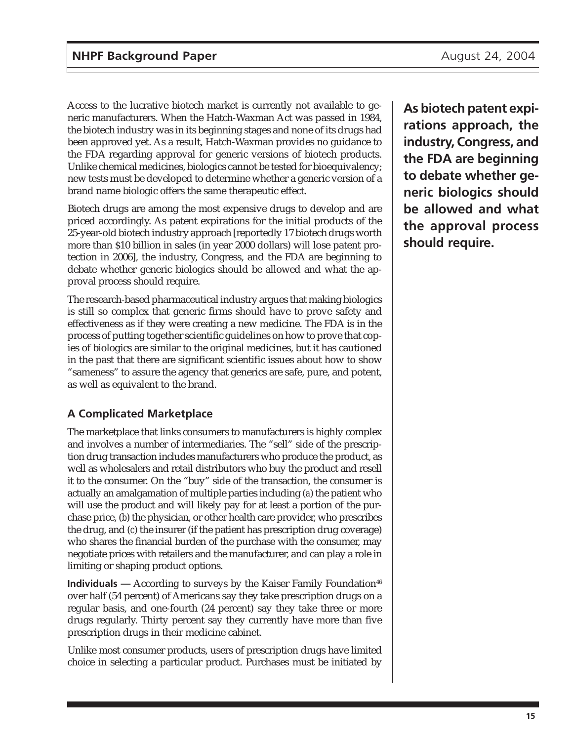Access to the lucrative biotech market is currently not available to generic manufacturers. When the Hatch-Waxman Act was passed in 1984, the biotech industry was in its beginning stages and none of its drugs had been approved yet. As a result, Hatch-Waxman provides no guidance to the FDA regarding approval for generic versions of biotech products. Unlike chemical medicines, biologics cannot be tested for bioequivalency; new tests must be developed to determine whether a generic version of a brand name biologic offers the same therapeutic effect.

Biotech drugs are among the most expensive drugs to develop and are priced accordingly. As patent expirations for the initial products of the 25-year-old biotech industry approach [reportedly 17 biotech drugs worth more than \$10 billion in sales (in year 2000 dollars) will lose patent protection in 2006], the industry, Congress, and the FDA are beginning to debate whether generic biologics should be allowed and what the approval process should require.

The research-based pharmaceutical industry argues that making biologics is still so complex that generic firms should have to prove safety and effectiveness as if they were creating a new medicine. The FDA is in the process of putting together scientific guidelines on how to prove that copies of biologics are similar to the original medicines, but it has cautioned in the past that there are significant scientific issues about how to show "sameness" to assure the agency that generics are safe, pure, and potent, as well as equivalent to the brand.

## **A Complicated Marketplace**

The marketplace that links consumers to manufacturers is highly complex and involves a number of intermediaries. The "sell" side of the prescription drug transaction includes manufacturers who produce the product, as well as wholesalers and retail distributors who buy the product and resell it to the consumer. On the "buy" side of the transaction, the consumer is actually an amalgamation of multiple parties including (*a*) the patient who will use the product and will likely pay for at least a portion of the purchase price, (*b*) the physician, or other health care provider, who prescribes the drug, and (*c*) the insurer (if the patient has prescription drug coverage) who shares the financial burden of the purchase with the consumer, may negotiate prices with retailers and the manufacturer, and can play a role in limiting or shaping product options.

**Individuals** — According to surveys by the Kaiser Family Foundation<sup>46</sup> over half (54 percent) of Americans say they take prescription drugs on a regular basis, and one-fourth (24 percent) say they take three or more drugs regularly. Thirty percent say they currently have more than five prescription drugs in their medicine cabinet.

Unlike most consumer products, users of prescription drugs have limited choice in selecting a particular product. Purchases must be initiated by

**As biotech patent expirations approach, the industry, Congress, and the FDA are beginning to debate whether generic biologics should be allowed and what the approval process should require.**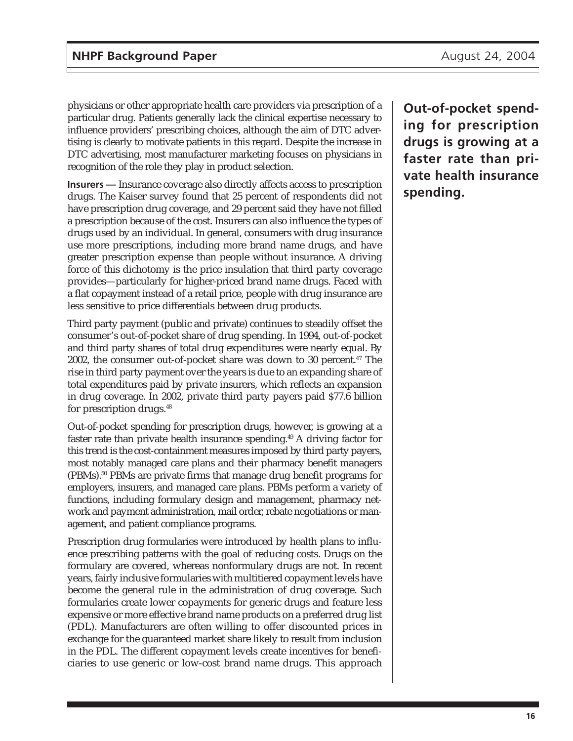physicians or other appropriate health care providers via prescription of a particular drug. Patients generally lack the clinical expertise necessary to influence providers' prescribing choices, although the aim of DTC advertising is clearly to motivate patients in this regard. Despite the increase in DTC advertising, most manufacturer marketing focuses on physicians in recognition of the role they play in product selection.

**Insurers —** Insurance coverage also directly affects access to prescription drugs. The Kaiser survey found that 25 percent of respondents did not have prescription drug coverage, and 29 percent said they have not filled a prescription because of the cost. Insurers can also influence the types of drugs used by an individual. In general, consumers with drug insurance use more prescriptions, including more brand name drugs, and have greater prescription expense than people without insurance. A driving force of this dichotomy is the price insulation that third party coverage provides—particularly for higher-priced brand name drugs. Faced with a flat copayment instead of a retail price, people with drug insurance are less sensitive to price differentials between drug products.

Third party payment (public and private) continues to steadily offset the consumer's out-of-pocket share of drug spending. In 1994, out-of-pocket and third party shares of total drug expenditures were nearly equal. By 2002, the consumer out-of-pocket share was down to 30 percent.<sup>47</sup> The rise in third party payment over the years is due to an expanding share of total expenditures paid by private insurers, which reflects an expansion in drug coverage. In 2002, private third party payers paid \$77.6 billion for prescription drugs.48

Out-of-pocket spending for prescription drugs, however, is growing at a faster rate than private health insurance spending.49 A driving factor for this trend is the cost-containment measures imposed by third party payers, most notably managed care plans and their pharmacy benefit managers (PBMs).50 PBMs are private firms that manage drug benefit programs for employers, insurers, and managed care plans. PBMs perform a variety of functions, including formulary design and management, pharmacy network and payment administration, mail order, rebate negotiations or management, and patient compliance programs.

Prescription drug formularies were introduced by health plans to influence prescribing patterns with the goal of reducing costs. Drugs on the formulary are covered, whereas nonformulary drugs are not. In recent years, fairly inclusive formularies with multitiered copayment levels have become the general rule in the administration of drug coverage. Such formularies create lower copayments for generic drugs and feature less expensive or more effective brand name products on a preferred drug list (PDL). Manufacturers are often willing to offer discounted prices in exchange for the guaranteed market share likely to result from inclusion in the PDL. The different copayment levels create incentives for beneficiaries to use generic or low-cost brand name drugs. This approach

**Out-of-pocket spending for prescription drugs is growing at a faster rate than private health insurance spending.**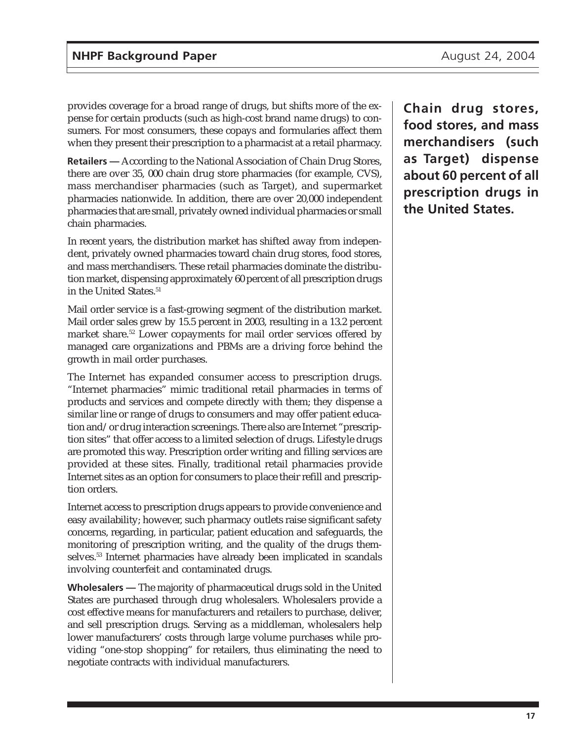provides coverage for a broad range of drugs, but shifts more of the expense for certain products (such as high-cost brand name drugs) to consumers. For most consumers, these copays and formularies affect them when they present their prescription to a pharmacist at a retail pharmacy.

**Retailers —** According to the National Association of Chain Drug Stores, there are over 35, 000 chain drug store pharmacies (for example, CVS), mass merchandiser pharmacies (such as Target), and supermarket pharmacies nationwide. In addition, there are over 20,000 independent pharmacies that are small, privately owned individual pharmacies or small chain pharmacies.

In recent years, the distribution market has shifted away from independent, privately owned pharmacies toward chain drug stores, food stores, and mass merchandisers. These retail pharmacies dominate the distribution market, dispensing approximately 60 percent of all prescription drugs in the United States.<sup>51</sup>

Mail order service is a fast-growing segment of the distribution market. Mail order sales grew by 15.5 percent in 2003, resulting in a 13.2 percent market share.<sup>52</sup> Lower copayments for mail order services offered by managed care organizations and PBMs are a driving force behind the growth in mail order purchases.

The Internet has expanded consumer access to prescription drugs. "Internet pharmacies" mimic traditional retail pharmacies in terms of products and services and compete directly with them; they dispense a similar line or range of drugs to consumers and may offer patient education and/or drug interaction screenings. There also are Internet "prescription sites" that offer access to a limited selection of drugs. Lifestyle drugs are promoted this way. Prescription order writing and filling services are provided at these sites. Finally, traditional retail pharmacies provide Internet sites as an option for consumers to place their refill and prescription orders.

Internet access to prescription drugs appears to provide convenience and easy availability; however, such pharmacy outlets raise significant safety concerns, regarding, in particular, patient education and safeguards, the monitoring of prescription writing, and the quality of the drugs themselves.53 Internet pharmacies have already been implicated in scandals involving counterfeit and contaminated drugs.

**Wholesalers —** The majority of pharmaceutical drugs sold in the United States are purchased through drug wholesalers. Wholesalers provide a cost effective means for manufacturers and retailers to purchase, deliver, and sell prescription drugs. Serving as a middleman, wholesalers help lower manufacturers' costs through large volume purchases while providing "one-stop shopping" for retailers, thus eliminating the need to negotiate contracts with individual manufacturers.

**Chain drug stores, food stores, and mass merchandisers (such as Target) dispense about 60 percent of all prescription drugs in the United States.**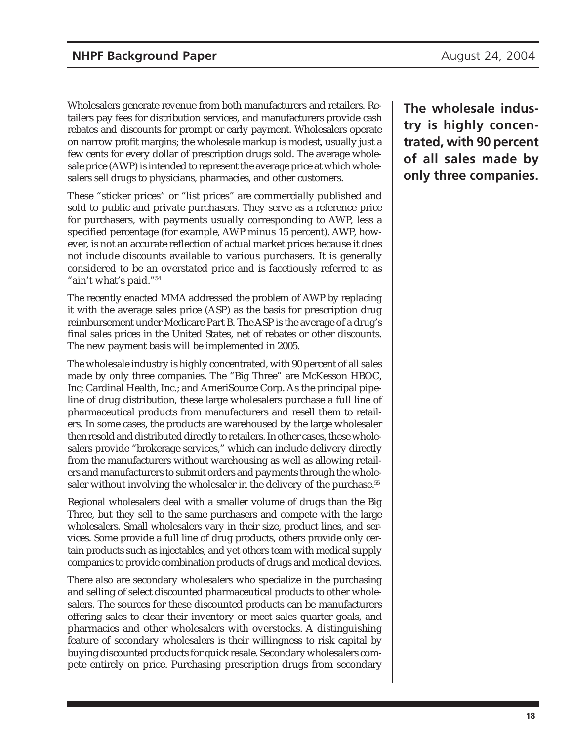Wholesalers generate revenue from both manufacturers and retailers. Retailers pay fees for distribution services, and manufacturers provide cash rebates and discounts for prompt or early payment. Wholesalers operate on narrow profit margins; the wholesale markup is modest, usually just a few cents for every dollar of prescription drugs sold. The average wholesale price (AWP) is intended to represent the average price at which wholesalers sell drugs to physicians, pharmacies, and other customers.

These "sticker prices" or "list prices" are commercially published and sold to public and private purchasers. They serve as a reference price for purchasers, with payments usually corresponding to AWP, less a specified percentage (for example, AWP minus 15 percent). AWP, however, is not an accurate reflection of actual market prices because it does not include discounts available to various purchasers. It is generally considered to be an overstated price and is facetiously referred to as "ain't what's paid."54

The recently enacted MMA addressed the problem of AWP by replacing it with the average sales price (ASP) as the basis for prescription drug reimbursement under Medicare Part B. The ASP is the average of a drug's final sales prices in the United States, net of rebates or other discounts. The new payment basis will be implemented in 2005.

The wholesale industry is highly concentrated, with 90 percent of all sales made by only three companies. The "Big Three" are McKesson HBOC, Inc; Cardinal Health, Inc.; and AmeriSource Corp. As the principal pipeline of drug distribution, these large wholesalers purchase a full line of pharmaceutical products from manufacturers and resell them to retailers. In some cases, the products are warehoused by the large wholesaler then resold and distributed directly to retailers. In other cases, these wholesalers provide "brokerage services," which can include delivery directly from the manufacturers without warehousing as well as allowing retailers and manufacturers to submit orders and payments through the wholesaler without involving the wholesaler in the delivery of the purchase.<sup>55</sup>

Regional wholesalers deal with a smaller volume of drugs than the Big Three, but they sell to the same purchasers and compete with the large wholesalers. Small wholesalers vary in their size, product lines, and services. Some provide a full line of drug products, others provide only certain products such as injectables, and yet others team with medical supply companies to provide combination products of drugs and medical devices.

There also are secondary wholesalers who specialize in the purchasing and selling of select discounted pharmaceutical products to other wholesalers. The sources for these discounted products can be manufacturers offering sales to clear their inventory or meet sales quarter goals, and pharmacies and other wholesalers with overstocks. A distinguishing feature of secondary wholesalers is their willingness to risk capital by buying discounted products for quick resale. Secondary wholesalers compete entirely on price. Purchasing prescription drugs from secondary

**The wholesale industry is highly concentrated, with 90 percent of all sales made by only three companies.**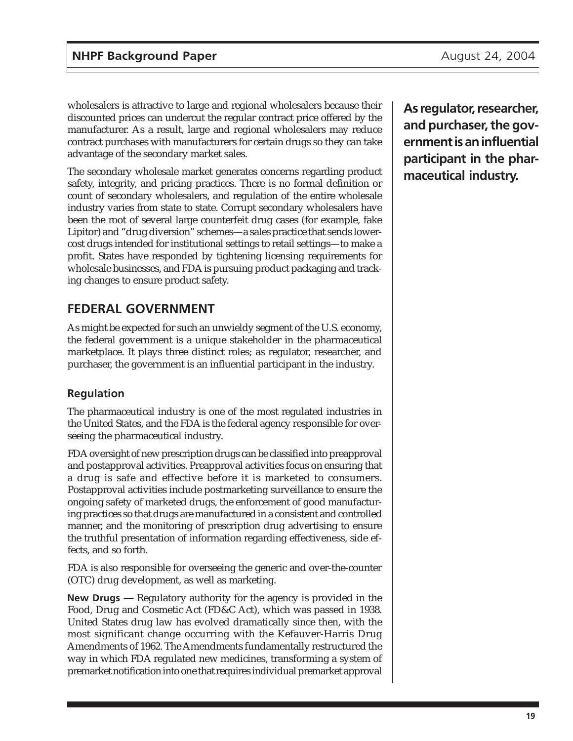wholesalers is attractive to large and regional wholesalers because their discounted prices can undercut the regular contract price offered by the manufacturer. As a result, large and regional wholesalers may reduce contract purchases with manufacturers for certain drugs so they can take advantage of the secondary market sales.

The secondary wholesale market generates concerns regarding product safety, integrity, and pricing practices. There is no formal definition or count of secondary wholesalers, and regulation of the entire wholesale industry varies from state to state. Corrupt secondary wholesalers have been the root of several large counterfeit drug cases (for example, fake Lipitor) and "drug diversion" schemes—a sales practice that sends lowercost drugs intended for institutional settings to retail settings—to make a profit. States have responded by tightening licensing requirements for wholesale businesses, and FDA is pursuing product packaging and tracking changes to ensure product safety.

## **FEDERAL GOVERNMENT**

As might be expected for such an unwieldy segment of the U.S. economy, the federal government is a unique stakeholder in the pharmaceutical marketplace. It plays three distinct roles; as regulator, researcher, and purchaser, the government is an influential participant in the industry.

## **Regulation**

The pharmaceutical industry is one of the most regulated industries in the United States, and the FDA is the federal agency responsible for overseeing the pharmaceutical industry.

FDA oversight of new prescription drugs can be classified into preapproval and postapproval activities. Preapproval activities focus on ensuring that a drug is safe and effective before it is marketed to consumers. Postapproval activities include postmarketing surveillance to ensure the ongoing safety of marketed drugs, the enforcement of good manufacturing practices so that drugs are manufactured in a consistent and controlled manner, and the monitoring of prescription drug advertising to ensure the truthful presentation of information regarding effectiveness, side effects, and so forth.

FDA is also responsible for overseeing the generic and over-the-counter (OTC) drug development, as well as marketing.

**New Drugs —** Regulatory authority for the agency is provided in the Food, Drug and Cosmetic Act (FD&C Act), which was passed in 1938. United States drug law has evolved dramatically since then, with the most significant change occurring with the Kefauver-Harris Drug Amendments of 1962. The Amendments fundamentally restructured the way in which FDA regulated new medicines, transforming a system of premarket notification into one that requires individual premarket approval

**As regulator, researcher, and purchaser, the government is an influential participant in the pharmaceutical industry.**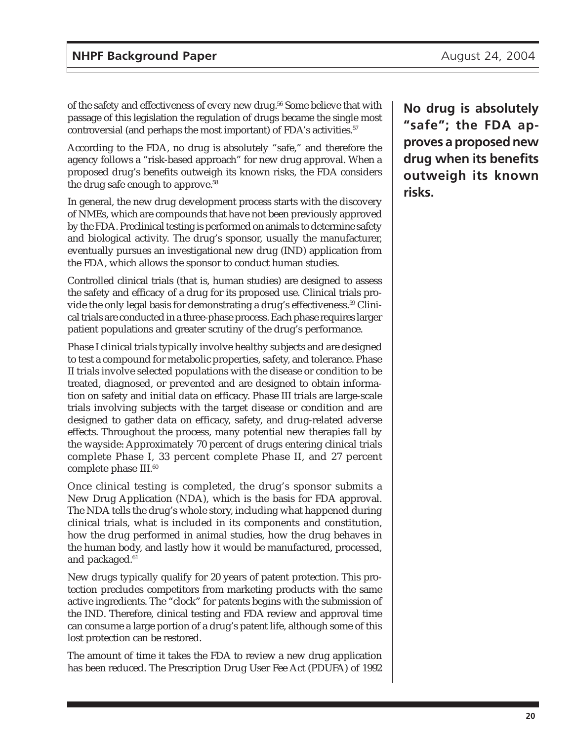of the safety and effectiveness of every new drug.<sup>56</sup> Some believe that with passage of this legislation the regulation of drugs became the single most controversial (and perhaps the most important) of FDA's activities.<sup>57</sup>

According to the FDA, no drug is absolutely "safe," and therefore the agency follows a "risk-based approach" for new drug approval. When a proposed drug's benefits outweigh its known risks, the FDA considers the drug safe enough to approve.<sup>58</sup>

In general, the new drug development process starts with the discovery of NMEs, which are compounds that have not been previously approved by the FDA. Preclinical testing is performed on animals to determine safety and biological activity. The drug's sponsor, usually the manufacturer, eventually pursues an investigational new drug (IND) application from the FDA, which allows the sponsor to conduct human studies.

Controlled clinical trials (that is, human studies) are designed to assess the safety and efficacy of a drug for its proposed use. Clinical trials provide the only legal basis for demonstrating a drug's effectiveness.<sup>59</sup> Clinical trials are conducted in a three-phase process. Each phase requires larger patient populations and greater scrutiny of the drug's performance.

Phase I clinical trials typically involve healthy subjects and are designed to test a compound for metabolic properties, safety, and tolerance. Phase II trials involve selected populations with the disease or condition to be treated, diagnosed, or prevented and are designed to obtain information on safety and initial data on efficacy. Phase III trials are large-scale trials involving subjects with the target disease or condition and are designed to gather data on efficacy, safety, and drug-related adverse effects. Throughout the process, many potential new therapies fall by the wayside: Approximately 70 percent of drugs entering clinical trials complete Phase I, 33 percent complete Phase II, and 27 percent complete phase III.<sup>60</sup>

Once clinical testing is completed, the drug's sponsor submits a New Drug Application (NDA), which is the basis for FDA approval. The NDA tells the drug's whole story, including what happened during clinical trials, what is included in its components and constitution, how the drug performed in animal studies, how the drug behaves in the human body, and lastly how it would be manufactured, processed, and packaged.<sup>61</sup>

New drugs typically qualify for 20 years of patent protection. This protection precludes competitors from marketing products with the same active ingredients. The "clock" for patents begins with the submission of the IND. Therefore, clinical testing and FDA review and approval time can consume a large portion of a drug's patent life, although some of this lost protection can be restored.

The amount of time it takes the FDA to review a new drug application has been reduced. The Prescription Drug User Fee Act (PDUFA) of 1992 **No drug is absolutely "safe"; the FDA approves a proposed new drug when its benefits outweigh its known risks.**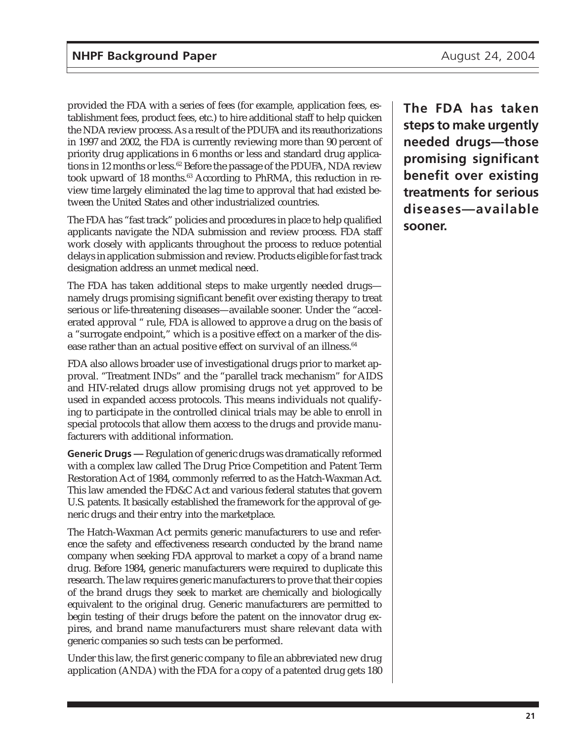provided the FDA with a series of fees (for example, application fees, establishment fees, product fees, etc.) to hire additional staff to help quicken the NDA review process. As a result of the PDUFA and its reauthorizations in 1997 and 2002, the FDA is currently reviewing more than 90 percent of priority drug applications in 6 months or less and standard drug applications in 12 months or less.<sup>62</sup> Before the passage of the PDUFA, NDA review took upward of 18 months.<sup>63</sup> According to PhRMA, this reduction in review time largely eliminated the lag time to approval that had existed between the United States and other industrialized countries.

The FDA has "fast track" policies and procedures in place to help qualified applicants navigate the NDA submission and review process. FDA staff work closely with applicants throughout the process to reduce potential delays in application submission and review. Products eligible for fast track designation address an unmet medical need.

The FDA has taken additional steps to make urgently needed drugs namely drugs promising significant benefit over existing therapy to treat serious or life-threatening diseases—available sooner. Under the "accelerated approval " rule, FDA is allowed to approve a drug on the basis of a "surrogate endpoint," which is a positive effect on a marker of the disease rather than an actual positive effect on survival of an illness.<sup>64</sup>

FDA also allows broader use of investigational drugs prior to market approval. "Treatment INDs" and the "parallel track mechanism" for AIDS and HIV-related drugs allow promising drugs not yet approved to be used in expanded access protocols. This means individuals not qualifying to participate in the controlled clinical trials may be able to enroll in special protocols that allow them access to the drugs and provide manufacturers with additional information.

**Generic Drugs —** Regulation of generic drugs was dramatically reformed with a complex law called The Drug Price Competition and Patent Term Restoration Act of 1984, commonly referred to as the Hatch-Waxman Act. This law amended the FD&C Act and various federal statutes that govern U.S. patents. It basically established the framework for the approval of generic drugs and their entry into the marketplace.

The Hatch-Waxman Act permits generic manufacturers to use and reference the safety and effectiveness research conducted by the brand name company when seeking FDA approval to market a copy of a brand name drug. Before 1984, generic manufacturers were required to duplicate this research. The law requires generic manufacturers to prove that their copies of the brand drugs they seek to market are chemically and biologically equivalent to the original drug. Generic manufacturers are permitted to begin testing of their drugs before the patent on the innovator drug expires, and brand name manufacturers must share relevant data with generic companies so such tests can be performed.

Under this law, the first generic company to file an abbreviated new drug application (ANDA) with the FDA for a copy of a patented drug gets 180

**The FDA has taken steps to make urgently needed drugs—those promising significant benefit over existing treatments for serious diseases—available sooner.**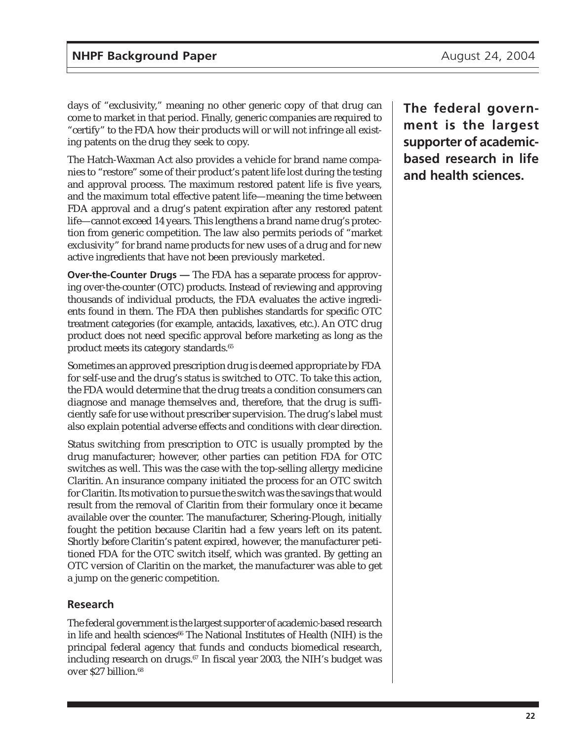days of "exclusivity," meaning no other generic copy of that drug can come to market in that period. Finally, generic companies are required to "certify" to the FDA how their products will or will not infringe all existing patents on the drug they seek to copy.

The Hatch-Waxman Act also provides a vehicle for brand name companies to "restore" some of their product's patent life lost during the testing and approval process. The maximum restored patent life is five years, and the maximum total effective patent life—meaning the time between FDA approval and a drug's patent expiration after any restored patent life—cannot exceed 14 years. This lengthens a brand name drug's protection from generic competition. The law also permits periods of "market exclusivity" for brand name products for new uses of a drug and for new active ingredients that have not been previously marketed.

**Over-the-Counter Drugs —** The FDA has a separate process for approving over-the-counter (OTC) products. Instead of reviewing and approving thousands of individual products, the FDA evaluates the active ingredients found in them. The FDA then publishes standards for specific OTC treatment categories (for example, antacids, laxatives, etc.). An OTC drug product does not need specific approval before marketing as long as the product meets its category standards.<sup>65</sup>

Sometimes an approved prescription drug is deemed appropriate by FDA for self-use and the drug's status is switched to OTC. To take this action, the FDA would determine that the drug treats a condition consumers can diagnose and manage themselves and, therefore, that the drug is sufficiently safe for use without prescriber supervision. The drug's label must also explain potential adverse effects and conditions with clear direction.

Status switching from prescription to OTC is usually prompted by the drug manufacturer; however, other parties can petition FDA for OTC switches as well. This was the case with the top-selling allergy medicine Claritin. An insurance company initiated the process for an OTC switch for Claritin. Its motivation to pursue the switch was the savings that would result from the removal of Claritin from their formulary once it became available over the counter. The manufacturer, Schering-Plough, initially fought the petition because Claritin had a few years left on its patent. Shortly before Claritin's patent expired, however, the manufacturer petitioned FDA for the OTC switch itself, which was granted. By getting an OTC version of Claritin on the market, the manufacturer was able to get a jump on the generic competition.

### **Research**

The federal government is the largest supporter of academic-based research in life and health sciences<sup>66</sup> The National Institutes of Health (NIH) is the principal federal agency that funds and conducts biomedical research, including research on drugs.<sup>67</sup> In fiscal year 2003, the NIH's budget was over \$27 billion.<sup>68</sup>

**The federal government is the largest supporter of academicbased research in life and health sciences.**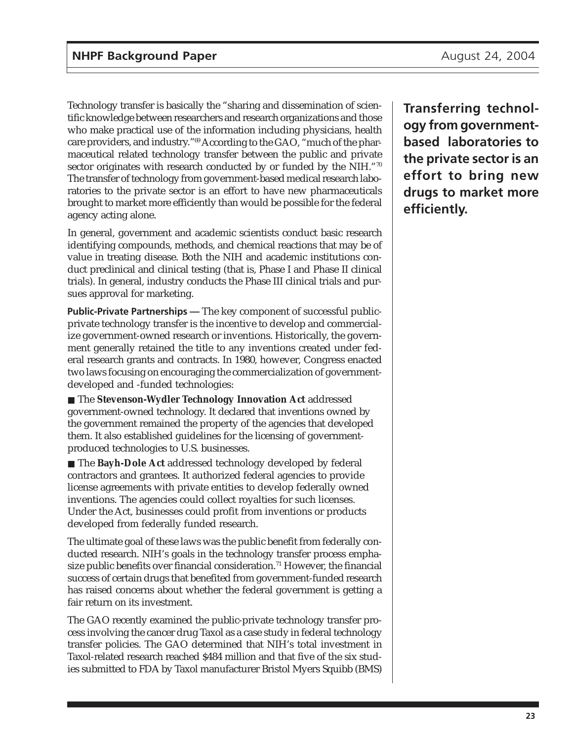Technology transfer is basically the "sharing and dissemination of scientific knowledge between researchers and research organizations and those who make practical use of the information including physicians, health care providers, and industry."69 According to the GAO, "much of the pharmaceutical related technology transfer between the public and private sector originates with research conducted by or funded by the NIH."70 The transfer of technology from government-based medical research laboratories to the private sector is an effort to have new pharmaceuticals brought to market more efficiently than would be possible for the federal agency acting alone.

In general, government and academic scientists conduct basic research identifying compounds, methods, and chemical reactions that may be of value in treating disease. Both the NIH and academic institutions conduct preclinical and clinical testing (that is, Phase I and Phase II clinical trials). In general, industry conducts the Phase III clinical trials and pursues approval for marketing.

**Public-Private Partnerships —** The key component of successful publicprivate technology transfer is the incentive to develop and commercialize government-owned research or inventions. Historically, the government generally retained the title to any inventions created under federal research grants and contracts. In 1980, however, Congress enacted two laws focusing on encouraging the commercialization of governmentdeveloped and -funded technologies:

■ The **Stevenson-Wydler Technology Innovation Act** addressed government-owned technology. It declared that inventions owned by the government remained the property of the agencies that developed them. It also established guidelines for the licensing of governmentproduced technologies to U.S. businesses.

■ The **Bayh-Dole Act** addressed technology developed by federal contractors and grantees. It authorized federal agencies to provide license agreements with private entities to develop federally owned inventions. The agencies could collect royalties for such licenses. Under the Act, businesses could profit from inventions or products developed from federally funded research.

The ultimate goal of these laws was the public benefit from federally conducted research. NIH's goals in the technology transfer process emphasize public benefits over financial consideration.<sup>71</sup> However, the financial success of certain drugs that benefited from government-funded research has raised concerns about whether the federal government is getting a fair return on its investment.

The GAO recently examined the public-private technology transfer process involving the cancer drug Taxol as a case study in federal technology transfer policies. The GAO determined that NIH's total investment in Taxol-related research reached \$484 million and that five of the six studies submitted to FDA by Taxol manufacturer Bristol Myers Squibb (BMS)

**Transferring technology from governmentbased laboratories to the private sector is an effort to bring new drugs to market more efficiently.**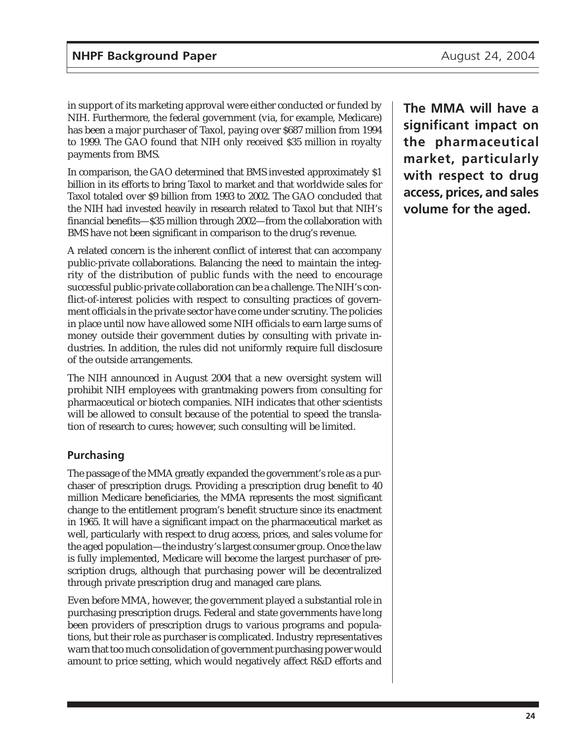in support of its marketing approval were either conducted or funded by NIH. Furthermore, the federal government (via, for example, Medicare) has been a major purchaser of Taxol, paying over \$687 million from 1994 to 1999. The GAO found that NIH only received \$35 million in royalty payments from BMS.

In comparison, the GAO determined that BMS invested approximately \$1 billion in its efforts to bring Taxol to market and that worldwide sales for Taxol totaled over \$9 billion from 1993 to 2002. The GAO concluded that the NIH had invested heavily in research related to Taxol but that NIH's financial benefits—\$35 million through 2002—from the collaboration with BMS have not been significant in comparison to the drug's revenue.

A related concern is the inherent conflict of interest that can accompany public-private collaborations. Balancing the need to maintain the integrity of the distribution of public funds with the need to encourage successful public-private collaboration can be a challenge. The NIH's conflict-of-interest policies with respect to consulting practices of government officials in the private sector have come under scrutiny. The policies in place until now have allowed some NIH officials to earn large sums of money outside their government duties by consulting with private industries. In addition, the rules did not uniformly require full disclosure of the outside arrangements.

The NIH announced in August 2004 that a new oversight system will prohibit NIH employees with grantmaking powers from consulting for pharmaceutical or biotech companies. NIH indicates that other scientists will be allowed to consult because of the potential to speed the translation of research to cures; however, such consulting will be limited.

### **Purchasing**

The passage of the MMA greatly expanded the government's role as a purchaser of prescription drugs. Providing a prescription drug benefit to 40 million Medicare beneficiaries, the MMA represents the most significant change to the entitlement program's benefit structure since its enactment in 1965. It will have a significant impact on the pharmaceutical market as well, particularly with respect to drug access, prices, and sales volume for the aged population—the industry's largest consumer group. Once the law is fully implemented, Medicare will become the largest purchaser of prescription drugs, although that purchasing power will be decentralized through private prescription drug and managed care plans.

Even before MMA, however, the government played a substantial role in purchasing prescription drugs. Federal and state governments have long been providers of prescription drugs to various programs and populations, but their role as purchaser is complicated. Industry representatives warn that too much consolidation of government purchasing power would amount to price setting, which would negatively affect R&D efforts and

**The MMA will have a significant impact on the pharmaceutical market, particularly with respect to drug access, prices, and sales volume for the aged.**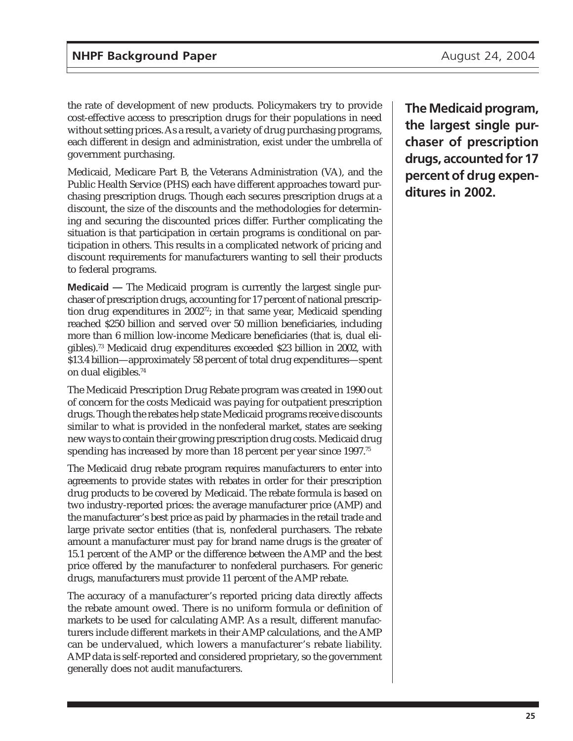the rate of development of new products. Policymakers try to provide cost-effective access to prescription drugs for their populations in need without setting prices. As a result, a variety of drug purchasing programs, each different in design and administration, exist under the umbrella of government purchasing.

Medicaid, Medicare Part B, the Veterans Administration (VA), and the Public Health Service (PHS) each have different approaches toward purchasing prescription drugs. Though each secures prescription drugs at a discount, the size of the discounts and the methodologies for determining and securing the discounted prices differ. Further complicating the situation is that participation in certain programs is conditional on participation in others. This results in a complicated network of pricing and discount requirements for manufacturers wanting to sell their products to federal programs.

**Medicaid —** The Medicaid program is currently the largest single purchaser of prescription drugs, accounting for 17 percent of national prescription drug expenditures in 2002<sup>72</sup>; in that same year, Medicaid spending reached \$250 billion and served over 50 million beneficiaries, including more than 6 million low-income Medicare beneficiaries (that is, dual eligibles).73 Medicaid drug expenditures exceeded \$23 billion in 2002, with \$13.4 billion—approximately 58 percent of total drug expenditures—spent on dual eligibles.74

The Medicaid Prescription Drug Rebate program was created in 1990 out of concern for the costs Medicaid was paying for outpatient prescription drugs. Though the rebates help state Medicaid programs receive discounts similar to what is provided in the nonfederal market, states are seeking new ways to contain their growing prescription drug costs. Medicaid drug spending has increased by more than 18 percent per year since 1997.<sup>75</sup>

The Medicaid drug rebate program requires manufacturers to enter into agreements to provide states with rebates in order for their prescription drug products to be covered by Medicaid. The rebate formula is based on two industry-reported prices: the average manufacturer price (AMP) and the manufacturer's best price as paid by pharmacies in the retail trade and large private sector entities (that is, nonfederal purchasers. The rebate amount a manufacturer must pay for brand name drugs is the greater of 15.1 percent of the AMP or the difference between the AMP and the best price offered by the manufacturer to nonfederal purchasers. For generic drugs, manufacturers must provide 11 percent of the AMP rebate.

The accuracy of a manufacturer's reported pricing data directly affects the rebate amount owed. There is no uniform formula or definition of markets to be used for calculating AMP. As a result, different manufacturers include different markets in their AMP calculations, and the AMP can be undervalued, which lowers a manufacturer's rebate liability. AMP data is self-reported and considered proprietary, so the government generally does not audit manufacturers.

**The Medicaid program, the largest single purchaser of prescription drugs, accounted for 17 percent of drug expenditures in 2002.**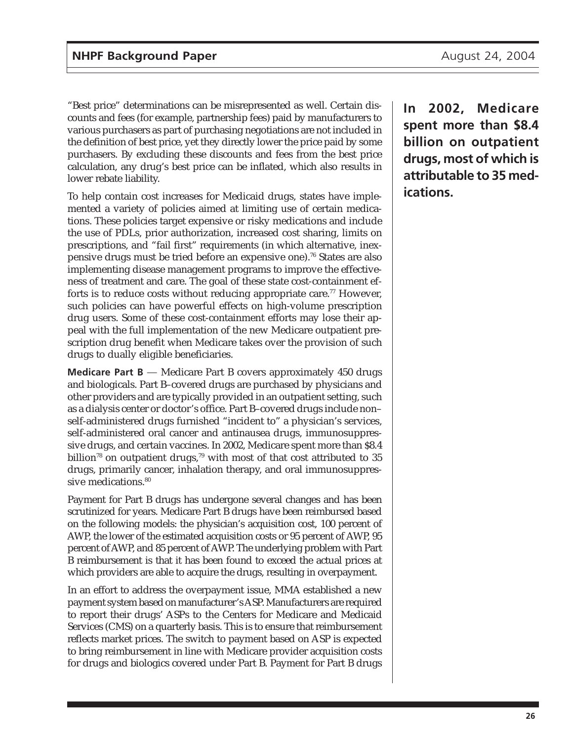"Best price" determinations can be misrepresented as well. Certain discounts and fees (for example, partnership fees) paid by manufacturers to various purchasers as part of purchasing negotiations are not included in the definition of best price, yet they directly lower the price paid by some purchasers. By excluding these discounts and fees from the best price calculation, any drug's best price can be inflated, which also results in lower rebate liability.

To help contain cost increases for Medicaid drugs, states have implemented a variety of policies aimed at limiting use of certain medications. These policies target expensive or risky medications and include the use of PDLs, prior authorization, increased cost sharing, limits on prescriptions, and "fail first" requirements (in which alternative, inexpensive drugs must be tried before an expensive one).76 States are also implementing disease management programs to improve the effectiveness of treatment and care. The goal of these state cost-containment efforts is to reduce costs without reducing appropriate care.<sup>77</sup> However, such policies can have powerful effects on high-volume prescription drug users. Some of these cost-containment efforts may lose their appeal with the full implementation of the new Medicare outpatient prescription drug benefit when Medicare takes over the provision of such drugs to dually eligible beneficiaries.

**Medicare Part B** — Medicare Part B covers approximately 450 drugs and biologicals. Part B–covered drugs are purchased by physicians and other providers and are typically provided in an outpatient setting, such as a dialysis center or doctor's office. Part B–covered drugs include non– self-administered drugs furnished "incident to" a physician's services, self-administered oral cancer and antinausea drugs, immunosuppressive drugs, and certain vaccines. In 2002, Medicare spent more than \$8.4 billion<sup>78</sup> on outpatient drugs,<sup>79</sup> with most of that cost attributed to 35 drugs, primarily cancer, inhalation therapy, and oral immunosuppressive medications.<sup>80</sup>

Payment for Part B drugs has undergone several changes and has been scrutinized for years. Medicare Part B drugs have been reimbursed based on the following models: the physician's acquisition cost, 100 percent of AWP, the lower of the estimated acquisition costs or 95 percent of AWP, 95 percent of AWP, and 85 percent of AWP. The underlying problem with Part B reimbursement is that it has been found to exceed the actual prices at which providers are able to acquire the drugs, resulting in overpayment.

In an effort to address the overpayment issue, MMA established a new payment system based on manufacturer's ASP. Manufacturers are required to report their drugs' ASPs to the Centers for Medicare and Medicaid Services (CMS) on a quarterly basis. This is to ensure that reimbursement reflects market prices. The switch to payment based on ASP is expected to bring reimbursement in line with Medicare provider acquisition costs for drugs and biologics covered under Part B. Payment for Part B drugs

**In 2002, Medicare spent more than \$8.4 billion on outpatient drugs, most of which is attributable to 35 medications.**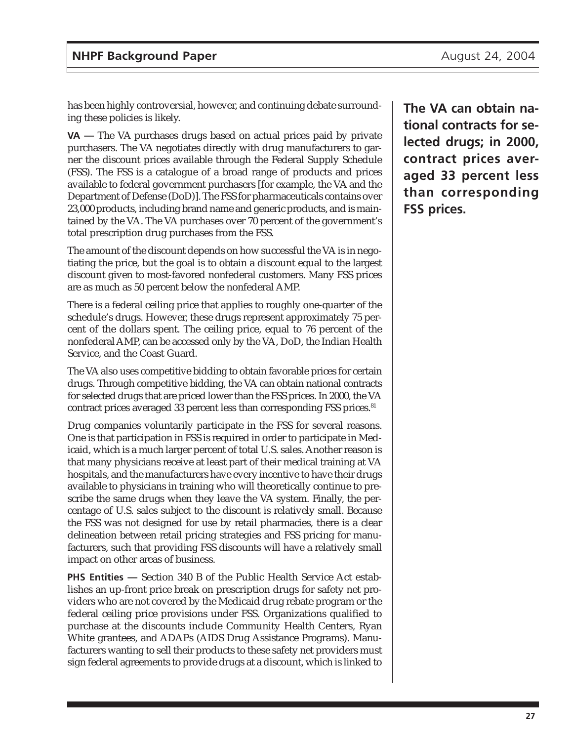has been highly controversial, however, and continuing debate surrounding these policies is likely.

**VA —** The VA purchases drugs based on actual prices paid by private purchasers. The VA negotiates directly with drug manufacturers to garner the discount prices available through the Federal Supply Schedule (FSS). The FSS is a catalogue of a broad range of products and prices available to federal government purchasers [for example, the VA and the Department of Defense (DoD)]. The FSS for pharmaceuticals contains over 23,000 products, including brand name and generic products, and is maintained by the VA. The VA purchases over 70 percent of the government's total prescription drug purchases from the FSS.

The amount of the discount depends on how successful the VA is in negotiating the price, but the goal is to obtain a discount equal to the largest discount given to most-favored nonfederal customers. Many FSS prices are as much as 50 percent below the nonfederal AMP.

There is a federal ceiling price that applies to roughly one-quarter of the schedule's drugs. However, these drugs represent approximately 75 percent of the dollars spent. The ceiling price, equal to 76 percent of the nonfederal AMP, can be accessed only by the VA, DoD, the Indian Health Service, and the Coast Guard.

The VA also uses competitive bidding to obtain favorable prices for certain drugs. Through competitive bidding, the VA can obtain national contracts for selected drugs that are priced lower than the FSS prices. In 2000, the VA contract prices averaged 33 percent less than corresponding FSS prices.<sup>81</sup>

Drug companies voluntarily participate in the FSS for several reasons. One is that participation in FSS is required in order to participate in Medicaid, which is a much larger percent of total U.S. sales. Another reason is that many physicians receive at least part of their medical training at VA hospitals, and the manufacturers have every incentive to have their drugs available to physicians in training who will theoretically continue to prescribe the same drugs when they leave the VA system. Finally, the percentage of U.S. sales subject to the discount is relatively small. Because the FSS was not designed for use by retail pharmacies, there is a clear delineation between retail pricing strategies and FSS pricing for manufacturers, such that providing FSS discounts will have a relatively small impact on other areas of business.

**PHS Entities —** Section 340 B of the Public Health Service Act establishes an up-front price break on prescription drugs for safety net providers who are not covered by the Medicaid drug rebate program or the federal ceiling price provisions under FSS. Organizations qualified to purchase at the discounts include Community Health Centers, Ryan White grantees, and ADAPs (AIDS Drug Assistance Programs). Manufacturers wanting to sell their products to these safety net providers must sign federal agreements to provide drugs at a discount, which is linked to

**The VA can obtain national contracts for selected drugs; in 2000, contract prices averaged 33 percent less than corresponding FSS prices.**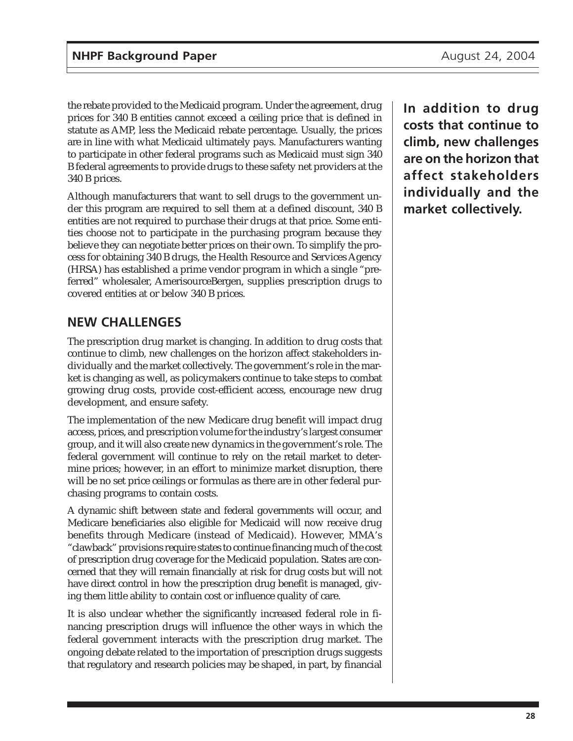the rebate provided to the Medicaid program. Under the agreement, drug prices for 340 B entities cannot exceed a ceiling price that is defined in statute as AMP, less the Medicaid rebate percentage. Usually, the prices are in line with what Medicaid ultimately pays. Manufacturers wanting to participate in other federal programs such as Medicaid must sign 340 B federal agreements to provide drugs to these safety net providers at the 340 B prices.

Although manufacturers that want to sell drugs to the government under this program are required to sell them at a defined discount, 340 B entities are not required to purchase their drugs at that price. Some entities choose not to participate in the purchasing program because they believe they can negotiate better prices on their own. To simplify the process for obtaining 340 B drugs, the Health Resource and Services Agency (HRSA) has established a prime vendor program in which a single "preferred" wholesaler, AmerisourceBergen, supplies prescription drugs to covered entities at or below 340 B prices.

## **NEW CHALLENGES**

The prescription drug market is changing. In addition to drug costs that continue to climb, new challenges on the horizon affect stakeholders individually and the market collectively. The government's role in the market is changing as well, as policymakers continue to take steps to combat growing drug costs, provide cost-efficient access, encourage new drug development, and ensure safety.

The implementation of the new Medicare drug benefit will impact drug access, prices, and prescription volume for the industry's largest consumer group, and it will also create new dynamics in the government's role. The federal government will continue to rely on the retail market to determine prices; however, in an effort to minimize market disruption, there will be no set price ceilings or formulas as there are in other federal purchasing programs to contain costs.

A dynamic shift between state and federal governments will occur, and Medicare beneficiaries also eligible for Medicaid will now receive drug benefits through Medicare (instead of Medicaid). However, MMA's "clawback" provisions require states to continue financing much of the cost of prescription drug coverage for the Medicaid population. States are concerned that they will remain financially at risk for drug costs but will not have direct control in how the prescription drug benefit is managed, giving them little ability to contain cost or influence quality of care.

It is also unclear whether the significantly increased federal role in financing prescription drugs will influence the other ways in which the federal government interacts with the prescription drug market. The ongoing debate related to the importation of prescription drugs suggests that regulatory and research policies may be shaped, in part, by financial

**In addition to drug costs that continue to climb, new challenges are on the horizon that affect stakeholders individually and the market collectively.**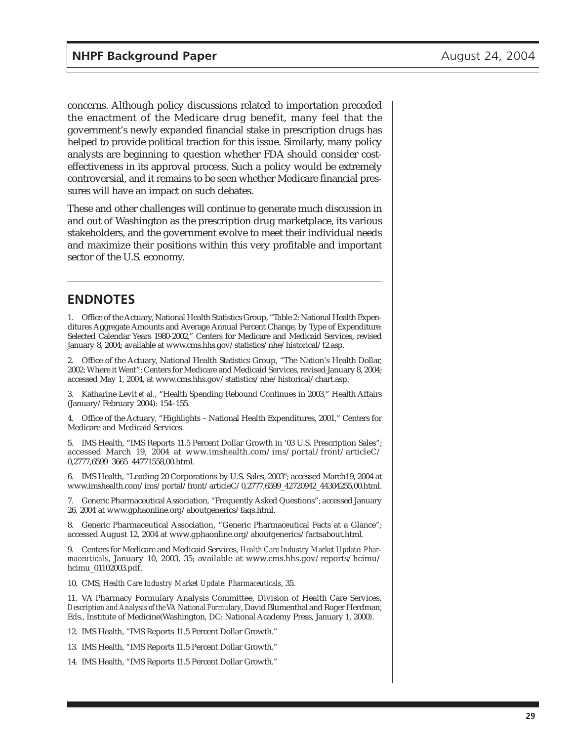concerns. Although policy discussions related to importation preceded the enactment of the Medicare drug benefit, many feel that the government's newly expanded financial stake in prescription drugs has helped to provide political traction for this issue. Similarly, many policy analysts are beginning to question whether FDA should consider costeffectiveness in its approval process. Such a policy would be extremely controversial, and it remains to be seen whether Medicare financial pressures will have an impact on such debates.

These and other challenges will continue to generate much discussion in and out of Washington as the prescription drug marketplace, its various stakeholders, and the government evolve to meet their individual needs and maximize their positions within this very profitable and important sector of the U.S. economy.

### **ENDNOTES**

1. Office of the Actuary, National Health Statistics Group, "Table 2: National Health Expenditures Aggregate Amounts and Average Annual Percent Change, by Type of Expenditure: Selected Calendar Years 1980-2002," Centers for Medicare and Medicaid Services, revised January 8, 2004; available at www.cms.hhs.gov/statistics/nhe/historical/t2.asp.

2. Office of the Actuary, National Health Statistics Group, "The Nation's Health Dollar, 2002: Where it Went"; Centers for Medicare and Medicaid Services, revised January 8, 2004; accessed May 1, 2004, at www.cms.hhs.gov/statistics/nhe/historical/chart.asp.

3. Katharine Levit *et al.*, "Health Spending Rebound Continues in 2003," Health Affairs (January/February 2004): 154–155.

4. Office of the Actuary, "Highlights – National Health Expenditures, 2001," Centers for Medicare and Medicaid Services.

5. IMS Health, "IMS Reports 11.5 Percent Dollar Growth in '03 U.S. Prescription Sales"; accessed March 19, 2004 at www.imshealth.com/ims/portal/front/articleC/ 0,2777,6599\_3665\_44771558,00.html.

6. IMS Health, "Leading 20 Corporations by U.S. Sales, 2003"; accessed March19, 2004 at www.imshealth.com/ims/portal/front/articleC/0,2777,6599\_42720942\_44304255,00.html.

7. Generic Pharmaceutical Association, "Frequently Asked Questions"; accessed January 26, 2004 at www.gphaonline.org/aboutgenerics/faqs.html.

8. Generic Pharmaceutical Association, "Generic Pharmaceutical Facts at a Glance"; accessed August 12, 2004 at www.gphaonline.org/aboutgenerics/factsabout.html.

9. Centers for Medicare and Medicaid Services, *Health Care Industry Market Update: Pharmaceuticals*, January 10, 2003, 35; available at www.cms.hhs.gov/reports/hcimu/ hcimu\_01102003.pdf.

10. CMS, *Health Care Industry Market Update: Pharmaceuticals*, 35.

11. VA Pharmacy Formulary Analysis Committee, Division of Health Care Services, *Description and Analysis of the VA National Formulary*, David Blumenthal and Roger Herdman, Eds., Institute of Medicine(Washington, DC: National Academy Press, January 1, 2000).

12. IMS Health, "IMS Reports 11.5 Percent Dollar Growth."

13. IMS Health, "IMS Reports 11.5 Percent Dollar Growth."

14. IMS Health, "IMS Reports 11.5 Percent Dollar Growth."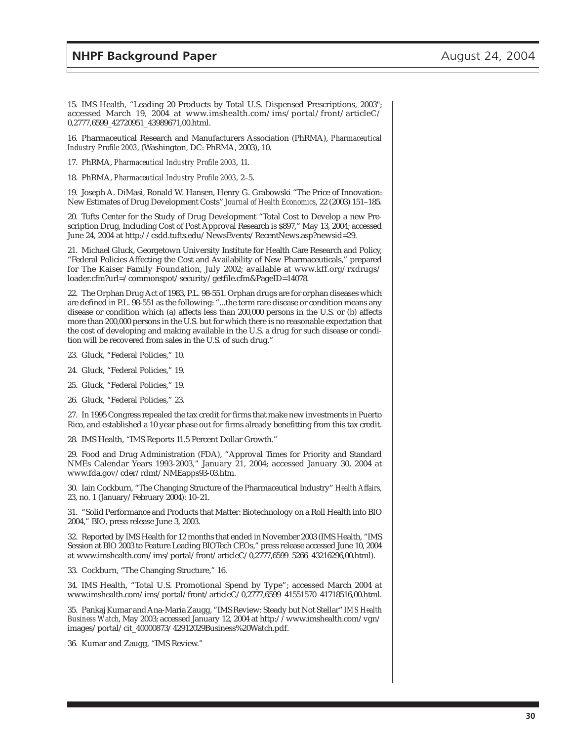15. IMS Health, "Leading 20 Products by Total U.S. Dispensed Prescriptions, 2003"; accessed March 19, 2004 at www.imshealth.com/ims/portal/front/articleC/ 0,2777,6599\_42720951\_43989671,00.html.

16. Pharmaceutical Research and Manufacturers Association (PhRMA), *Pharmaceutical Industry Profile 2003*, (Washington, DC: PhRMA, 2003), 10.

17. PhRMA, *Pharmaceutical Industry Profile 2003*, 11.

18. PhRMA, *Pharmaceutical Industry Profile 2003*, 2–5.

19. Joseph A. DiMasi, Ronald W. Hansen, Henry G. Grabowski "The Price of Innovation: New Estimates of Drug Development Costs" *Journal of Health Economics,* 22 (2003) 151–185.

20. Tufts Center for the Study of Drug Development "Total Cost to Develop a new Prescription Drug, Including Cost of Post Approval Research is \$897," May 13, 2004; accessed June 24, 2004 at http://csdd.tufts.edu/NewsEvents/RecentNews.asp?newsid=29.

21. Michael Gluck, Georgetown University Institute for Health Care Research and Policy, "Federal Policies Affecting the Cost and Availability of New Pharmaceuticals," prepared for The Kaiser Family Foundation, July 2002; available at www.kff.org/rxdrugs/ loader.cfm?url=/commonspot/security/getfile.cfm&PageID=14078.

22. The Orphan Drug Act of 1983, P.L. 98-551. Orphan drugs are for orphan diseases which are defined in P.L. 98-551 as the following: "...the term rare disease or condition means any disease or condition which (a) affects less than 200,000 persons in the U.S. or (b) affects more than 200,000 persons in the U.S. but for which there is no reasonable expectation that the cost of developing and making available in the U.S. a drug for such disease or condition will be recovered from sales in the U.S. of such drug."

23. Gluck, "Federal Policies," 10.

24. Gluck, "Federal Policies," 19.

25. Gluck, "Federal Policies," 19.

26. Gluck, "Federal Policies," 23.

27. In 1995 Congress repealed the tax credit for firms that make new investments in Puerto Rico, and established a 10 year phase out for firms already benefitting from this tax credit.

28. IMS Health, "IMS Reports 11.5 Percent Dollar Growth."

29. Food and Drug Administration (FDA), "Approval Times for Priority and Standard NMEs Calendar Years 1993-2003," January 21, 2004; accessed January 30, 2004 at www.fda.gov/cder/rdmt/NMEapps93-03.htm.

30. Iain Cockburn, "The Changing Structure of the Pharmaceutical Industry" *Health Affairs*, 23, no. 1 (January/February 2004): 10–21.

31. "Solid Performance and Products that Matter: Biotechnology on a Roll Health into BIO 2004," BIO, press release June 3, 2003.

32. Reported by IMS Health for 12 months that ended in November 2003 (IMS Health, "IMS Session at BIO 2003 to Feature Leading BIOTech CEOs," press release accessed June 10, 2004 at www.imshealth.com/ims/portal/front/articleC/0,2777,6599\_5266\_43216296,00.html).

33. Cockburn, "The Changing Structure," 16.

34. IMS Health, "Total U.S. Promotional Spend by Type"; accessed March 2004 at www.imshealth.com/ims/portal/front/articleC/0,2777,6599\_41551570\_41718516,00.html.

35. Pankaj Kumar and Ana-Maria Zaugg, "IMS Review: Steady but Not Stellar" *IMS Health Business Watch*, May 2003; accessed January 12, 2004 at http://www.imshealth.com/vgn/ images/portal/cit\_40000873/42912029Business%20Watch.pdf.

36. Kumar and Zaugg, "IMS Review."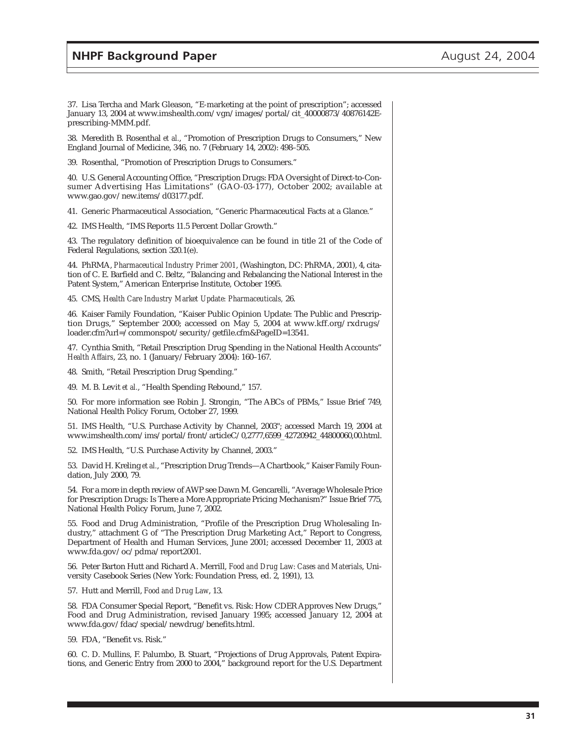#### **NHPF Background Paper August 24, 2004**

37. Lisa Tercha and Mark Gleason, "E-marketing at the point of prescription"; accessed January 13, 2004 at www.imshealth.com/vgn/images/portal/cit\_40000873/40876142Eprescribing-MMM.pdf.

38. Meredith B. Rosenthal *et al.*, "Promotion of Prescription Drugs to Consumers," New England Journal of Medicine, 346, no. 7 (February 14, 2002): 498–505.

39. Rosenthal, "Promotion of Prescription Drugs to Consumers."

40. U.S. General Accounting Office, "Prescription Drugs: FDA Oversight of Direct-to-Consumer Advertising Has Limitations" (GAO-03-177), October 2002; available at www.gao.gov/new.items/d03177.pdf.

41. Generic Pharmaceutical Association, "Generic Pharmaceutical Facts at a Glance."

42. IMS Health, "IMS Reports 11.5 Percent Dollar Growth."

43. The regulatory definition of bioequivalence can be found in title 21 of the Code of Federal Regulations, section 320.1(e).

44. PhRMA, *Pharmaceutical Industry Primer 2001*, (Washington, DC: PhRMA, 2001), 4, citation of C. E. Barfield and C. Beltz, "Balancing and Rebalancing the National Interest in the Patent System," American Enterprise Institute, October 1995.

45. CMS, *Health Care Industry Market Update: Pharmaceuticals,* 26.

46. Kaiser Family Foundation, "Kaiser Public Opinion Update: The Public and Prescription Drugs," September 2000; accessed on May 5, 2004 at www.kff.org/rxdrugs/ loader.cfm?url=/commonspot/security/getfile.cfm&PageID=13541.

47. Cynthia Smith, "Retail Prescription Drug Spending in the National Health Accounts" *Health Affairs*, 23, no. 1 (January/February 2004): 160–167.

48. Smith, "Retail Prescription Drug Spending."

49. M. B. Levit *et al.*, "Health Spending Rebound," 157.

50. For more information see Robin J. Strongin, "The ABCs of PBMs," Issue Brief 749, National Health Policy Forum, October 27, 1999.

51. IMS Health, "U.S. Purchase Activity by Channel, 2003"; accessed March 19, 2004 at www.imshealth.com/ims/portal/front/articleC/0,2777,6599\_42720942\_44800060,00.html.

52. IMS Health, "U.S. Purchase Activity by Channel, 2003."

53. David H. Kreling *et al.*, "Prescription Drug Trends—A Chartbook," Kaiser Family Foundation, July 2000, 79.

54. For a more in depth review of AWP see Dawn M. Gencarelli, "Average Wholesale Price for Prescription Drugs: Is There a More Appropriate Pricing Mechanism?" Issue Brief 775, National Health Policy Forum, June 7, 2002.

55. Food and Drug Administration, "Profile of the Prescription Drug Wholesaling Industry," attachment G of "The Prescription Drug Marketing Act," Report to Congress, Department of Health and Human Services, June 2001; accessed December 11, 2003 at www.fda.gov/oc/pdma/report2001.

56. Peter Barton Hutt and Richard A. Merrill, *Food and Drug Law: Cases and Materials*, University Casebook Series (New York: Foundation Press, ed. 2, 1991), 13.

57. Hutt and Merrill, *Food and Drug Law*, 13.

58. FDA Consumer Special Report, "Benefit vs. Risk: How CDER Approves New Drugs," Food and Drug Administration, revised January 1995; accessed January 12, 2004 at www.fda.gov/fdac/special/newdrug/benefits.html.

59. FDA, "Benefit vs. Risk."

60. C. D. Mullins, F. Palumbo, B. Stuart, "Projections of Drug Approvals, Patent Expirations, and Generic Entry from 2000 to 2004," background report for the U.S. Department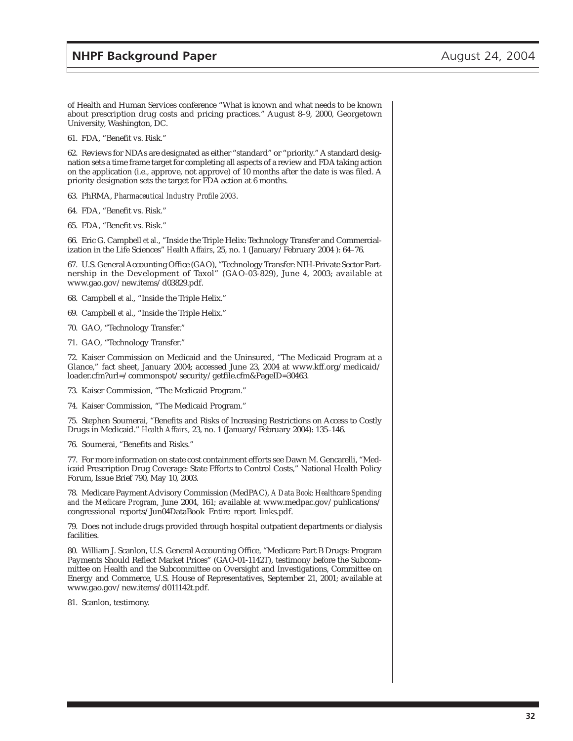of Health and Human Services conference "What is known and what needs to be known about prescription drug costs and pricing practices." August 8–9, 2000, Georgetown University, Washington, DC.

61. FDA, "Benefit vs. Risk."

62. Reviews for NDAs are designated as either "standard" or "priority." A standard designation sets a time frame target for completing all aspects of a review and FDA taking action on the application (i.e., approve, not approve) of 10 months after the date is was filed. A priority designation sets the target for FDA action at 6 months.

- 63. PhRMA, *Pharmaceutical Industry Profile 2003*.
- 64. FDA, "Benefit vs. Risk."
- 65. FDA, "Benefit vs. Risk."

66. Eric G. Campbell *et al.*, "Inside the Triple Helix: Technology Transfer and Commercialization in the Life Sciences" *Health Affairs*, 25, no. 1 (January/February 2004 ): 64–76.

67. U.S. General Accounting Office (GAO), "Technology Transfer: NIH-Private Sector Partnership in the Development of Taxol" (GAO-03-829), June 4, 2003; available at www.gao.gov/new.items/d03829.pdf.

- 68. Campbell *et al.*, "Inside the Triple Helix."
- 69. Campbell *et al.*, "Inside the Triple Helix."
- 70. GAO, "Technology Transfer."
- 71. GAO, "Technology Transfer."

72. Kaiser Commission on Medicaid and the Uninsured, "The Medicaid Program at a Glance," fact sheet, January 2004; accessed June 23, 2004 at www.kff.org/medicaid/ loader.cfm?url=/commonspot/security/getfile.cfm&PageID=30463.

73. Kaiser Commission, "The Medicaid Program."

74. Kaiser Commission, "The Medicaid Program."

75. Stephen Soumerai, "Benefits and Risks of Increasing Restrictions on Access to Costly Drugs in Medicaid." *Health Affairs*, 23, no. 1 (January/February 2004): 135–146.

76. Soumerai, "Benefits and Risks."

77. For more information on state cost containment efforts see Dawn M. Gencarelli, "Medicaid Prescription Drug Coverage: State Efforts to Control Costs," National Health Policy Forum, Issue Brief 790, May 10, 2003.

78. Medicare Payment Advisory Commission (MedPAC), *A Data Book: Healthcare Spending and the Medicare Program*, June 2004, 161; available at www.medpac.gov/publications/ congressional\_reports/Jun04DataBook\_Entire\_report\_links.pdf.

79. Does not include drugs provided through hospital outpatient departments or dialysis facilities.

80. William J. Scanlon, U.S. General Accounting Office, "Medicare Part B Drugs: Program Payments Should Reflect Market Prices" (GAO-01-1142T), testimony before the Subcommittee on Health and the Subcommittee on Oversight and Investigations, Committee on Energy and Commerce, U.S. House of Representatives, September 21, 2001; available at www.gao.gov/new.items/d011142t.pdf.

81. Scanlon, testimony.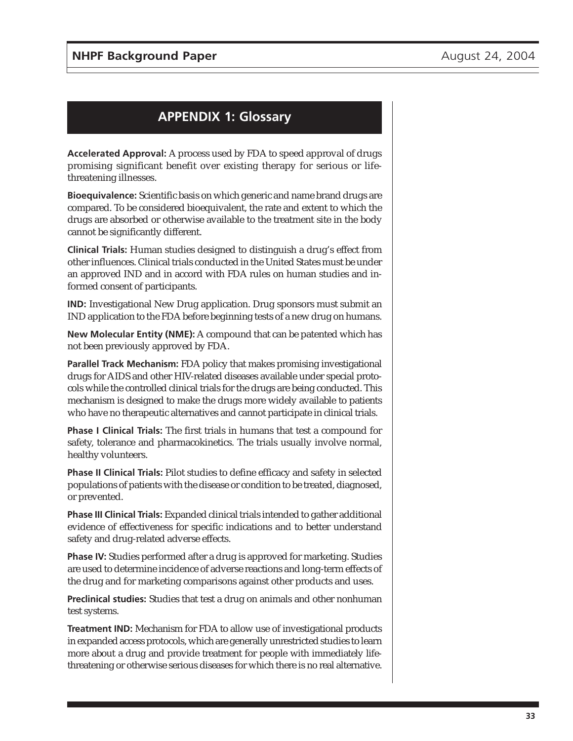## **APPENDIX 1: Glossary**

**Accelerated Approval:** A process used by FDA to speed approval of drugs promising significant benefit over existing therapy for serious or lifethreatening illnesses.

**Bioequivalence:** Scientific basis on which generic and name brand drugs are compared. To be considered bioequivalent, the rate and extent to which the drugs are absorbed or otherwise available to the treatment site in the body cannot be significantly different.

**Clinical Trials:** Human studies designed to distinguish a drug's effect from other influences. Clinical trials conducted in the United States must be under an approved IND and in accord with FDA rules on human studies and informed consent of participants.

**IND:** Investigational New Drug application. Drug sponsors must submit an IND application to the FDA before beginning tests of a new drug on humans.

**New Molecular Entity (NME):** A compound that can be patented which has not been previously approved by FDA.

**Parallel Track Mechanism:** FDA policy that makes promising investigational drugs for AIDS and other HIV-related diseases available under special protocols while the controlled clinical trials for the drugs are being conducted. This mechanism is designed to make the drugs more widely available to patients who have no therapeutic alternatives and cannot participate in clinical trials.

**Phase I Clinical Trials:** The first trials in humans that test a compound for safety, tolerance and pharmacokinetics. The trials usually involve normal, healthy volunteers.

**Phase II Clinical Trials:** Pilot studies to define efficacy and safety in selected populations of patients with the disease or condition to be treated, diagnosed, or prevented.

**Phase III Clinical Trials:** Expanded clinical trials intended to gather additional evidence of effectiveness for specific indications and to better understand safety and drug-related adverse effects.

**Phase IV:** Studies performed after a drug is approved for marketing. Studies are used to determine incidence of adverse reactions and long-term effects of the drug and for marketing comparisons against other products and uses.

**Preclinical studies:** Studies that test a drug on animals and other nonhuman test systems.

**Treatment IND:** Mechanism for FDA to allow use of investigational products in expanded access protocols, which are generally unrestricted studies to learn more about a drug and provide treatment for people with immediately lifethreatening or otherwise serious diseases for which there is no real alternative.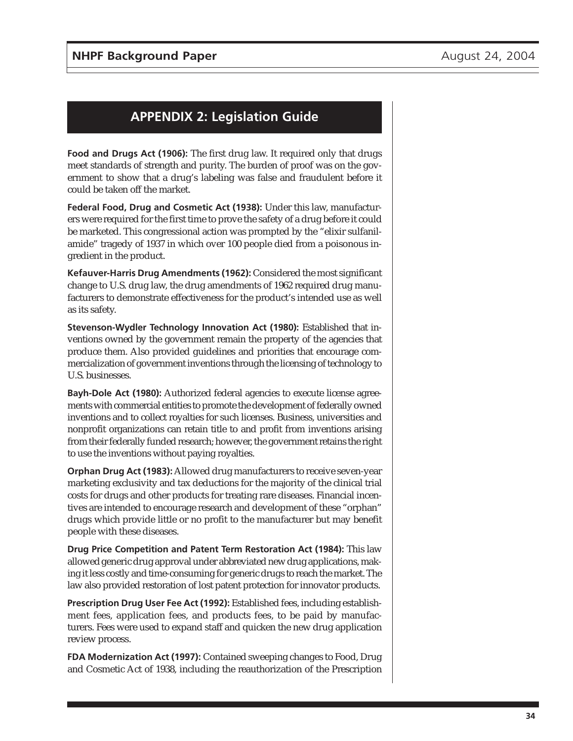## **APPENDIX 2: Legislation Guide**

**Food and Drugs Act (1906):** The first drug law. It required only that drugs meet standards of strength and purity. The burden of proof was on the government to show that a drug's labeling was false and fraudulent before it could be taken off the market.

**Federal Food, Drug and Cosmetic Act (1938):** Under this law, manufacturers were required for the first time to prove the safety of a drug before it could be marketed. This congressional action was prompted by the "elixir sulfanilamide" tragedy of 1937 in which over 100 people died from a poisonous ingredient in the product.

**Kefauver-Harris Drug Amendments (1962):** Considered the most significant change to U.S. drug law, the drug amendments of 1962 required drug manufacturers to demonstrate effectiveness for the product's intended use as well as its safety.

**Stevenson-Wydler Technology Innovation Act (1980):** Established that inventions owned by the government remain the property of the agencies that produce them. Also provided guidelines and priorities that encourage commercialization of government inventions through the licensing of technology to U.S. businesses.

**Bayh-Dole Act (1980):** Authorized federal agencies to execute license agreements with commercial entities to promote the development of federally owned inventions and to collect royalties for such licenses. Business, universities and nonprofit organizations can retain title to and profit from inventions arising from their federally funded research; however, the government retains the right to use the inventions without paying royalties.

**Orphan Drug Act (1983):** Allowed drug manufacturers to receive seven-year marketing exclusivity and tax deductions for the majority of the clinical trial costs for drugs and other products for treating rare diseases. Financial incentives are intended to encourage research and development of these "orphan" drugs which provide little or no profit to the manufacturer but may benefit people with these diseases.

**Drug Price Competition and Patent Term Restoration Act (1984):** This law allowed generic drug approval under abbreviated new drug applications, making it less costly and time-consuming for generic drugs to reach the market. The law also provided restoration of lost patent protection for innovator products.

**Prescription Drug User Fee Act (1992):** Established fees, including establishment fees, application fees, and products fees, to be paid by manufacturers. Fees were used to expand staff and quicken the new drug application review process.

**FDA Modernization Act (1997):** Contained sweeping changes to Food, Drug and Cosmetic Act of 1938, including the reauthorization of the Prescription